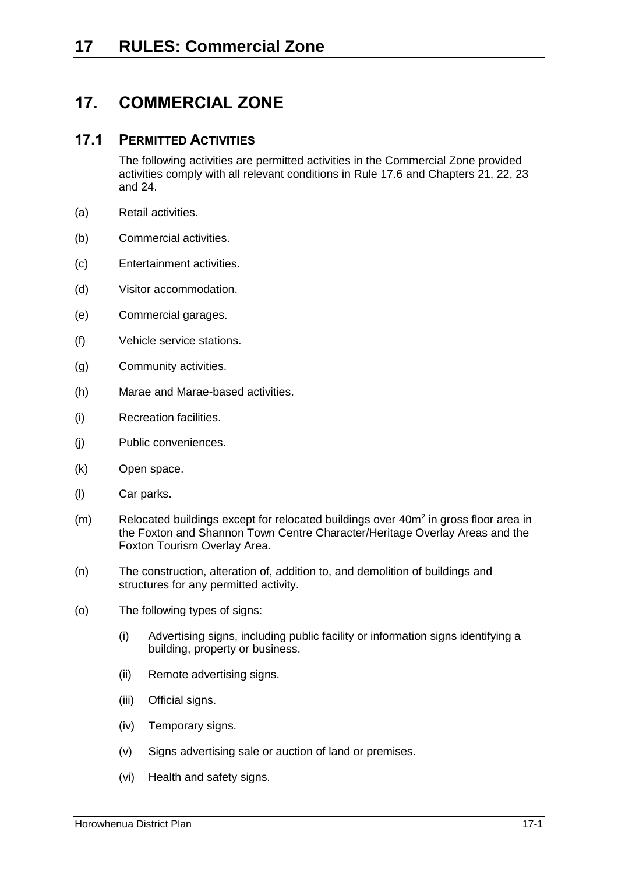# **17. COMMERCIAL ZONE**

## **17.1 PERMITTED ACTIVITIES**

The following activities are permitted activities in the Commercial Zone provided activities comply with all relevant conditions in Rule [17.6](#page-5-0) and Chapters 21, 22, 23 and 24.

- (a) Retail activities.
- (b) Commercial activities.
- (c) Entertainment activities.
- (d) Visitor accommodation.
- (e) Commercial garages.
- (f) Vehicle service stations.
- (g) Community activities.
- (h) Marae and Marae-based activities.
- (i) Recreation facilities.
- (j) Public conveniences.
- (k) Open space.
- (l) Car parks.
- $(m)$  Relocated buildings except for relocated buildings over 40 $m<sup>2</sup>$  in gross floor area in the Foxton and Shannon Town Centre Character/Heritage Overlay Areas and the Foxton Tourism Overlay Area.
- (n) The construction, alteration of, addition to, and demolition of buildings and structures for any permitted activity.
- (o) The following types of signs:
	- (i) Advertising signs, including public facility or information signs identifying a building, property or business.
	- (ii) Remote advertising signs.
	- (iii) Official signs.
	- (iv) Temporary signs.
	- (v) Signs advertising sale or auction of land or premises.
	- (vi) Health and safety signs.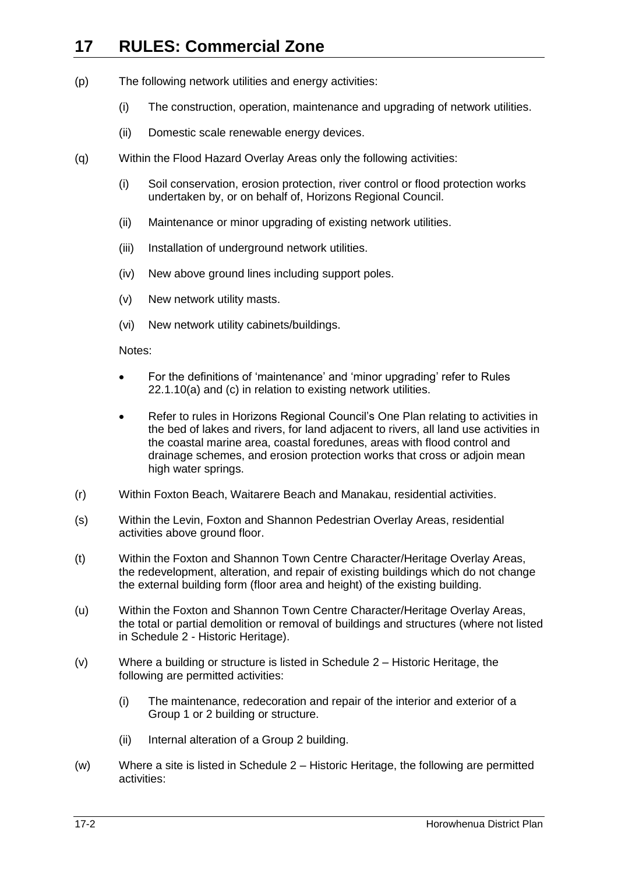- <span id="page-1-0"></span>(p) The following network utilities and energy activities:
	- (i) The construction, operation, maintenance and upgrading of network utilities.
	- (ii) Domestic scale renewable energy devices.
- (q) Within the Flood Hazard Overlay Areas only the following activities:
	- (i) Soil conservation, erosion protection, river control or flood protection works undertaken by, or on behalf of, Horizons Regional Council.
	- (ii) Maintenance or minor upgrading of existing network utilities.
	- (iii) Installation of underground network utilities.
	- (iv) New above ground lines including support poles.
	- (v) New network utility masts.
	- (vi) New network utility cabinets/buildings.

Notes:

- For the definitions of 'maintenance' and 'minor upgrading' refer to Rules 22.1.10(a) and (c) in relation to existing network utilities.
- Refer to rules in Horizons Regional Council's One Plan relating to activities in the bed of lakes and rivers, for land adjacent to rivers, all land use activities in the coastal marine area, coastal foredunes, areas with flood control and drainage schemes, and erosion protection works that cross or adjoin mean high water springs.
- (r) Within Foxton Beach, Waitarere Beach and Manakau, residential activities.
- (s) Within the Levin, Foxton and Shannon Pedestrian Overlay Areas, residential activities above ground floor.
- (t) Within the Foxton and Shannon Town Centre Character/Heritage Overlay Areas, the redevelopment, alteration, and repair of existing buildings which do not change the external building form (floor area and height) of the existing building.
- (u) Within the Foxton and Shannon Town Centre Character/Heritage Overlay Areas, the total or partial demolition or removal of buildings and structures (where not listed in Schedule 2 - Historic Heritage).
- (v) Where a building or structure is listed in Schedule 2 Historic Heritage, the following are permitted activities:
	- (i) The maintenance, redecoration and repair of the interior and exterior of a Group 1 or 2 building or structure.
	- (ii) Internal alteration of a Group 2 building.
- (w) Where a site is listed in Schedule 2 Historic Heritage, the following are permitted activities: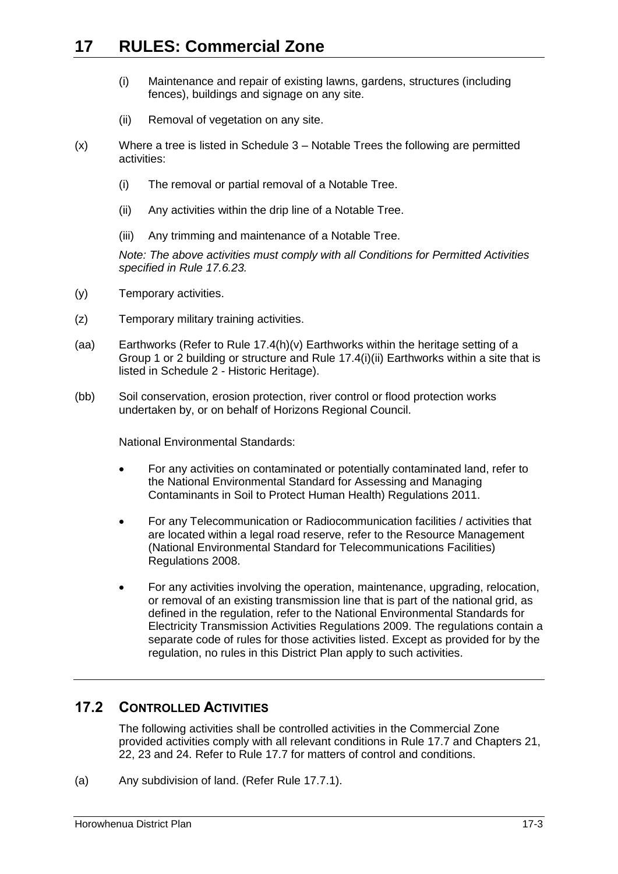- (i) Maintenance and repair of existing lawns, gardens, structures (including fences), buildings and signage on any site.
- (ii) Removal of vegetation on any site.
- (x) Where a tree is listed in Schedule 3 Notable Trees the following are permitted activities:
	- (i) The removal or partial removal of a Notable Tree.
	- (ii) Any activities within the drip line of a Notable Tree.
	- (iii) Any trimming and maintenance of a Notable Tree.

*Note: The above activities must comply with all Conditions for Permitted Activities specified in Rule [17.6.23.](#page-13-0)*

- (y) Temporary activities.
- (z) Temporary military training activities.
- (aa) Earthworks (Refer to Rule [17.4\(h\)\(v\)](#page-5-1) Earthworks within the heritage setting of a Group 1 or 2 building or structure and Rule [17.4\(i\)\(ii\)](#page-5-2) Earthworks within a site that is listed in Schedule 2 - Historic Heritage).
- (bb) Soil conservation, erosion protection, river control or flood protection works undertaken by, or on behalf of Horizons Regional Council.

National Environmental Standards:

- For any activities on contaminated or potentially contaminated land, refer to the National Environmental Standard for Assessing and Managing Contaminants in Soil to Protect Human Health) Regulations 2011.
- For any Telecommunication or Radiocommunication facilities / activities that are located within a legal road reserve, refer to the Resource Management (National Environmental Standard for Telecommunications Facilities) Regulations 2008.
- For any activities involving the operation, maintenance, upgrading, relocation, or removal of an existing transmission line that is part of the national grid, as defined in the regulation, refer to the National Environmental Standards for Electricity Transmission Activities Regulations 2009. The regulations contain a separate code of rules for those activities listed. Except as provided for by the regulation, no rules in this District Plan apply to such activities.

## **17.2 CONTROLLED ACTIVITIES**

The following activities shall be controlled activities in the Commercial Zone provided activities comply with all relevant conditions in Rule [17.7](#page-18-0) and Chapters 21, 22, 23 and 24. Refer to Rule [17.7](#page-18-0) for matters of control and conditions.

<span id="page-2-0"></span>(a) Any subdivision of land. (Refer Rule [17.7.1\)](#page-18-1).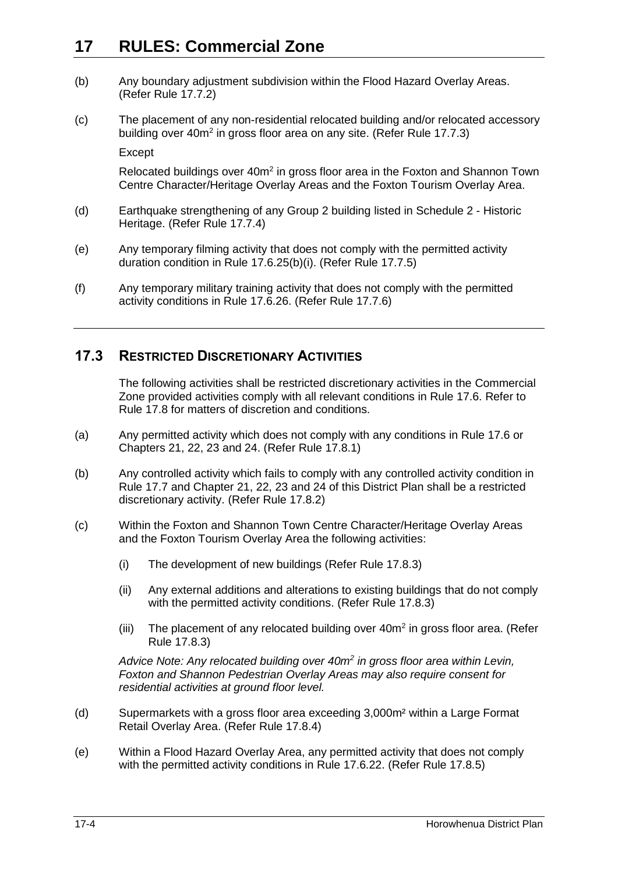- <span id="page-3-0"></span>(b) Any boundary adjustment subdivision within the Flood Hazard Overlay Areas. (Refer Rule [17.7.2\)](#page-19-0)
- <span id="page-3-1"></span>(c) The placement of any non-residential relocated building and/or relocated accessory building over 40m<sup>2</sup> in gross floor area on any site. (Refer Rule [17.7.3\)](#page-19-1)

Except

Relocated buildings over 40m<sup>2</sup> in gross floor area in the Foxton and Shannon Town Centre Character/Heritage Overlay Areas and the Foxton Tourism Overlay Area.

- <span id="page-3-2"></span>(d) Earthquake strengthening of any Group 2 building listed in Schedule 2 - Historic Heritage. (Refer Rule [17.7.4\)](#page-20-0)
- <span id="page-3-3"></span>(e) Any temporary filming activity that does not comply with the permitted activity duration condition in Rule [17.6.25\(b\)\(i\).](#page-15-0) (Refer Rule [17.7.5\)](#page-20-1)
- <span id="page-3-4"></span>(f) Any temporary military training activity that does not comply with the permitted activity conditions in Rule [17.6.26.](#page-15-1) (Refer Rule [17.7.6\)](#page-21-0)

# **17.3 RESTRICTED DISCRETIONARY ACTIVITIES**

The following activities shall be restricted discretionary activities in the Commercial Zone provided activities comply with all relevant conditions in Rule [17.6.](#page-5-0) Refer to Rule [17.8](#page-21-1) for matters of discretion and conditions.

- <span id="page-3-5"></span>(a) Any permitted activity which does not comply with any conditions in Rule [17.6](#page-5-0) or Chapters 21, 22, 23 and 24. (Refer Rule [17.8.1\)](#page-22-0)
- <span id="page-3-6"></span>(b) Any controlled activity which fails to comply with any controlled activity condition in Rule [17.7](#page-18-0) and Chapter 21, 22, 23 and 24 of this District Plan shall be a restricted discretionary activity. (Refer Rule [17.8.2\)](#page-22-1)
- <span id="page-3-9"></span><span id="page-3-8"></span><span id="page-3-7"></span>(c) Within the Foxton and Shannon Town Centre Character/Heritage Overlay Areas and the Foxton Tourism Overlay Area the following activities:
	- (i) The development of new buildings (Refer Rule [17.8.3\)](#page-22-2)
	- (ii) Any external additions and alterations to existing buildings that do not comply with the permitted activity conditions. (Refer Rule [17.8.3\)](#page-22-2)
	- (iii) The placement of any relocated building over  $40m<sup>2</sup>$  in gross floor area. (Refer Rule [17.8.3\)](#page-22-2)

<span id="page-3-10"></span>*Advice Note: Any relocated building over 40m<sup>2</sup> in gross floor area within Levin, Foxton and Shannon Pedestrian Overlay Areas may also require consent for residential activities at ground floor level.*

- <span id="page-3-11"></span>(d) Supermarkets with a gross floor area exceeding 3,000m² within a Large Format Retail Overlay Area. (Refer Rule [17.8.4\)](#page-23-0)
- <span id="page-3-12"></span>(e) Within a Flood Hazard Overlay Area, any permitted activity that does not comply with the permitted activity conditions in Rule [17.6.22.](#page-13-1) (Refer Rule [17.8.5\)](#page-23-1)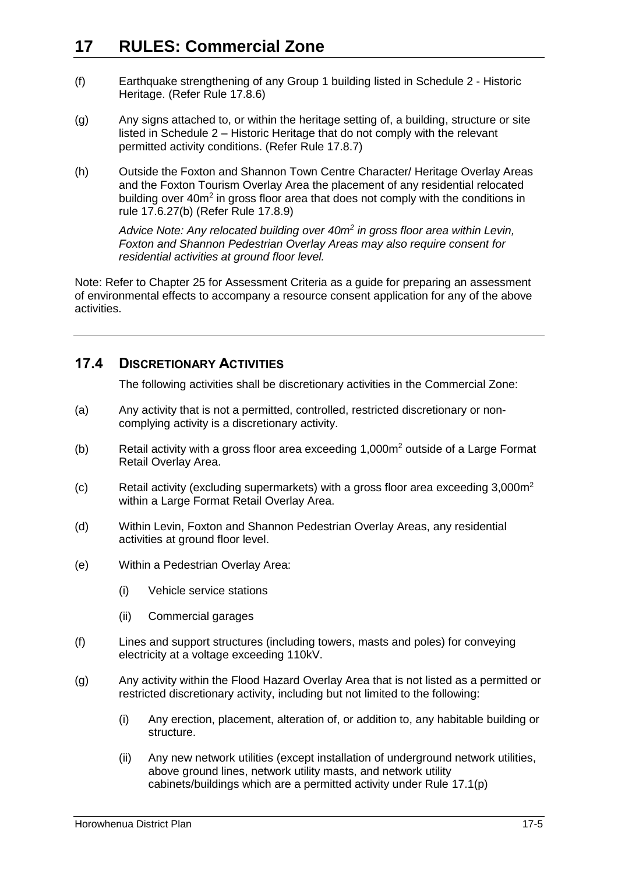- <span id="page-4-0"></span>(f) Earthquake strengthening of any Group 1 building listed in Schedule 2 - Historic Heritage. (Refer Rule [17.8.6\)](#page-24-0)
- <span id="page-4-1"></span>(g) Any signs attached to, or within the heritage setting of, a building, structure or site listed in Schedule 2 – Historic Heritage that do not comply with the relevant permitted activity conditions. (Refer Rule [17.8.7\)](#page-24-1)
- (h) Outside the Foxton and Shannon Town Centre Character/ Heritage Overlay Areas and the Foxton Tourism Overlay Area the placement of any residential relocated building over 40m<sup>2</sup> in gross floor area that does not comply with the conditions in rule [17.6.27\(b\)](#page-17-0) (Refer Rule [17.8.9\)](#page-25-0)

*Advice Note: Any relocated building over 40m<sup>2</sup> in gross floor area within Levin, Foxton and Shannon Pedestrian Overlay Areas may also require consent for residential activities at ground floor level.*

Note: Refer to Chapter 25 for Assessment Criteria as a guide for preparing an assessment of environmental effects to accompany a resource consent application for any of the above activities.

## **17.4 DISCRETIONARY ACTIVITIES**

The following activities shall be discretionary activities in the Commercial Zone:

- (a) Any activity that is not a permitted, controlled, restricted discretionary or noncomplying activity is a discretionary activity.
- (b) Retail activity with a gross floor area exceeding 1,000m<sup>2</sup> outside of a Large Format Retail Overlay Area.
- (c) Retail activity (excluding supermarkets) with a gross floor area exceeding  $3,000m^2$ within a Large Format Retail Overlay Area.
- (d) Within Levin, Foxton and Shannon Pedestrian Overlay Areas, any residential activities at ground floor level.
- (e) Within a Pedestrian Overlay Area:
	- (i) Vehicle service stations
	- (ii) Commercial garages
- (f) Lines and support structures (including towers, masts and poles) for conveying electricity at a voltage exceeding 110kV.
- (g) Any activity within the Flood Hazard Overlay Area that is not listed as a permitted or restricted discretionary activity, including but not limited to the following:
	- (i) Any erection, placement, alteration of, or addition to, any habitable building or structure.
	- (ii) Any new network utilities (except installation of underground network utilities, above ground lines, network utility masts, and network utility cabinets/buildings which are a permitted activity under Rule [17.1\(p\)](#page-1-0)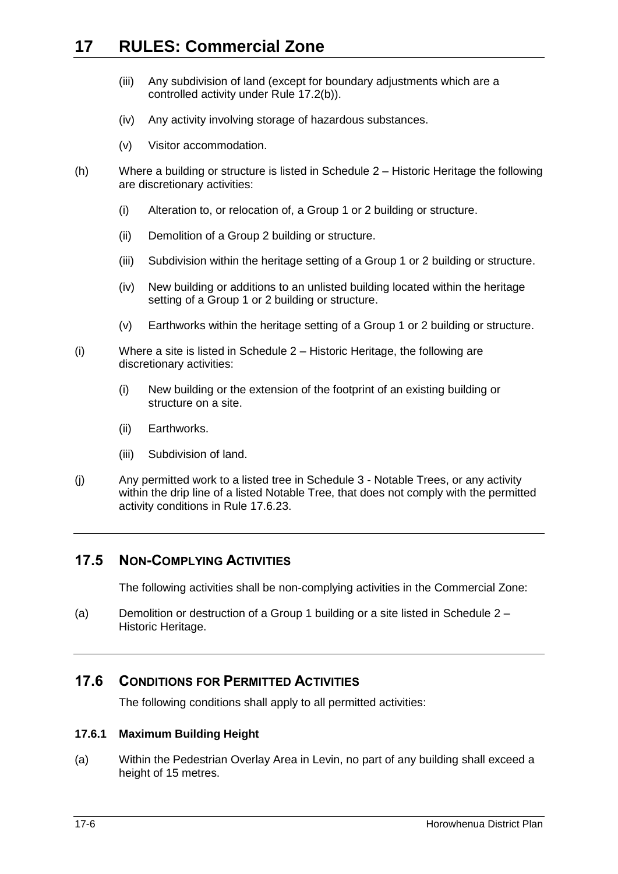- (iii) Any subdivision of land (except for boundary adjustments which are a controlled activity under Rule [17.2\(b\)\)](#page-3-0).
- (iv) Any activity involving storage of hazardous substances.
- (v) Visitor accommodation.
- (h) Where a building or structure is listed in Schedule 2 Historic Heritage the following are discretionary activities:
	- (i) Alteration to, or relocation of, a Group 1 or 2 building or structure.
	- (ii) Demolition of a Group 2 building or structure.
	- (iii) Subdivision within the heritage setting of a Group 1 or 2 building or structure.
	- (iv) New building or additions to an unlisted building located within the heritage setting of a Group 1 or 2 building or structure.
	- (v) Earthworks within the heritage setting of a Group 1 or 2 building or structure.
- <span id="page-5-1"></span>(i) Where a site is listed in Schedule 2 – Historic Heritage, the following are discretionary activities:
	- (i) New building or the extension of the footprint of an existing building or structure on a site.
	- (ii) Earthworks.
	- (iii) Subdivision of land.
- <span id="page-5-2"></span>(j) Any permitted work to a listed tree in Schedule 3 - Notable Trees, or any activity within the drip line of a listed Notable Tree, that does not comply with the permitted activity conditions in Rule [17.6.23.](#page-13-0)

# **17.5 NON-COMPLYING ACTIVITIES**

The following activities shall be non-complying activities in the Commercial Zone:

(a) Demolition or destruction of a Group 1 building or a site listed in Schedule 2 – Historic Heritage.

## <span id="page-5-0"></span>**17.6 CONDITIONS FOR PERMITTED ACTIVITIES**

The following conditions shall apply to all permitted activities:

#### <span id="page-5-3"></span>**17.6.1 Maximum Building Height**

(a) Within the Pedestrian Overlay Area in Levin, no part of any building shall exceed a height of 15 metres.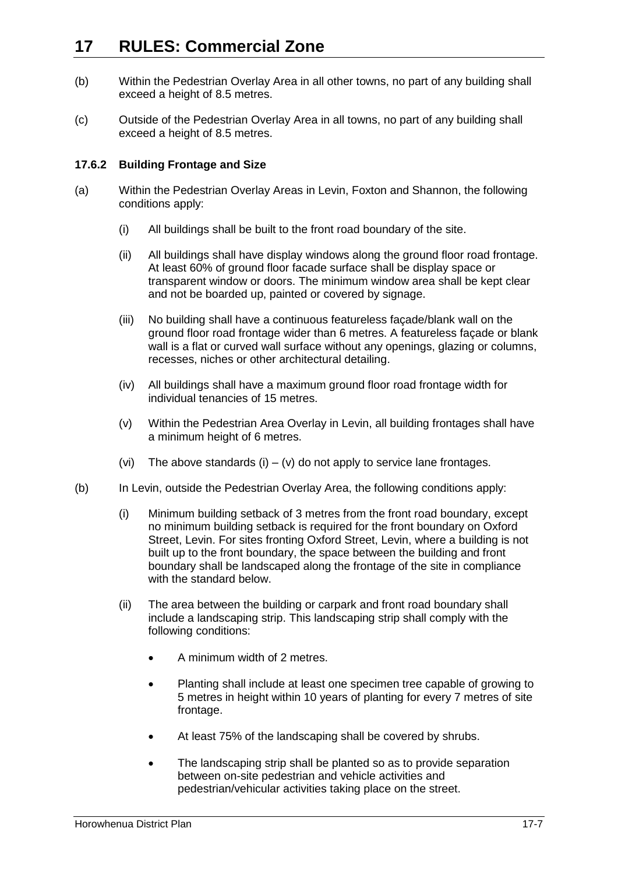- (b) Within the Pedestrian Overlay Area in all other towns, no part of any building shall exceed a height of 8.5 metres.
- (c) Outside of the Pedestrian Overlay Area in all towns, no part of any building shall exceed a height of 8.5 metres.

#### <span id="page-6-0"></span>**17.6.2 Building Frontage and Size**

- (a) Within the Pedestrian Overlay Areas in Levin, Foxton and Shannon, the following conditions apply:
	- (i) All buildings shall be built to the front road boundary of the site.
	- (ii) All buildings shall have display windows along the ground floor road frontage. At least 60% of ground floor facade surface shall be display space or transparent window or doors. The minimum window area shall be kept clear and not be boarded up, painted or covered by signage.
	- (iii) No building shall have a continuous featureless façade/blank wall on the ground floor road frontage wider than 6 metres. A featureless façade or blank wall is a flat or curved wall surface without any openings, glazing or columns, recesses, niches or other architectural detailing.
	- (iv) All buildings shall have a maximum ground floor road frontage width for individual tenancies of 15 metres.
	- (v) Within the Pedestrian Area Overlay in Levin, all building frontages shall have a minimum height of 6 metres.
	- (vi) The above standards  $(i) (v)$  do not apply to service lane frontages.
- (b) In Levin, outside the Pedestrian Overlay Area, the following conditions apply:
	- (i) Minimum building setback of 3 metres from the front road boundary, except no minimum building setback is required for the front boundary on Oxford Street, Levin. For sites fronting Oxford Street, Levin, where a building is not built up to the front boundary, the space between the building and front boundary shall be landscaped along the frontage of the site in compliance with the standard below.
	- (ii) The area between the building or carpark and front road boundary shall include a landscaping strip. This landscaping strip shall comply with the following conditions:
		- A minimum width of 2 metres.
		- Planting shall include at least one specimen tree capable of growing to 5 metres in height within 10 years of planting for every 7 metres of site frontage.
		- At least 75% of the landscaping shall be covered by shrubs.
		- The landscaping strip shall be planted so as to provide separation between on-site pedestrian and vehicle activities and pedestrian/vehicular activities taking place on the street.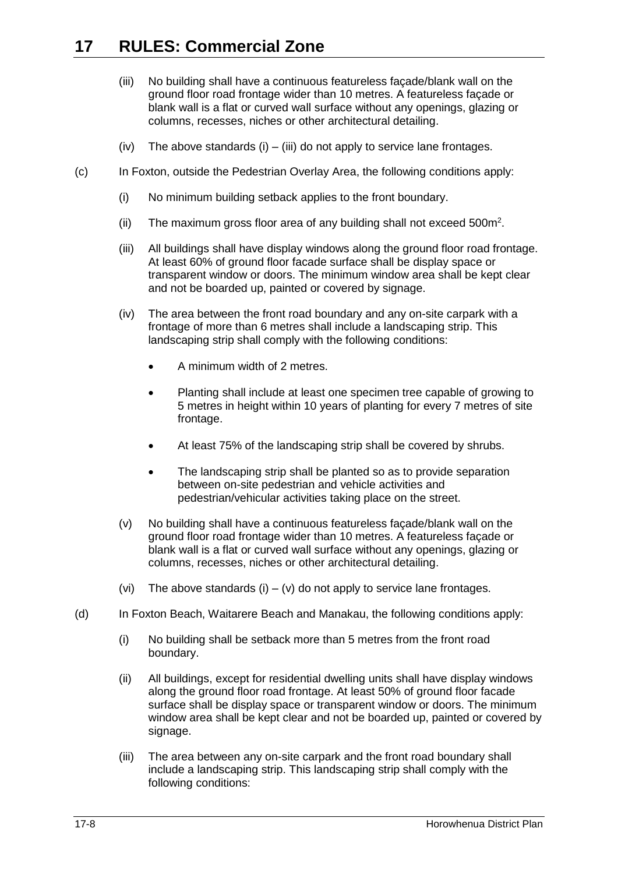- (iii) No building shall have a continuous featureless façade/blank wall on the ground floor road frontage wider than 10 metres. A featureless façade or blank wall is a flat or curved wall surface without any openings, glazing or columns, recesses, niches or other architectural detailing.
- (iv) The above standards (i) (iii) do not apply to service lane frontages.
- (c) In Foxton, outside the Pedestrian Overlay Area, the following conditions apply:
	- (i) No minimum building setback applies to the front boundary.
	- (ii) The maximum gross floor area of any building shall not exceed  $500m^2$ .
	- (iii) All buildings shall have display windows along the ground floor road frontage. At least 60% of ground floor facade surface shall be display space or transparent window or doors. The minimum window area shall be kept clear and not be boarded up, painted or covered by signage.
	- (iv) The area between the front road boundary and any on-site carpark with a frontage of more than 6 metres shall include a landscaping strip. This landscaping strip shall comply with the following conditions:
		- A minimum width of 2 metres.
		- Planting shall include at least one specimen tree capable of growing to 5 metres in height within 10 years of planting for every 7 metres of site frontage.
		- At least 75% of the landscaping strip shall be covered by shrubs.
		- The landscaping strip shall be planted so as to provide separation between on-site pedestrian and vehicle activities and pedestrian/vehicular activities taking place on the street.
	- (v) No building shall have a continuous featureless façade/blank wall on the ground floor road frontage wider than 10 metres. A featureless façade or blank wall is a flat or curved wall surface without any openings, glazing or columns, recesses, niches or other architectural detailing.
	- (vi) The above standards  $(i) (v)$  do not apply to service lane frontages.
- (d) In Foxton Beach, Waitarere Beach and Manakau, the following conditions apply:
	- (i) No building shall be setback more than 5 metres from the front road boundary.
	- (ii) All buildings, except for residential dwelling units shall have display windows along the ground floor road frontage. At least 50% of ground floor facade surface shall be display space or transparent window or doors. The minimum window area shall be kept clear and not be boarded up, painted or covered by signage.
	- (iii) The area between any on-site carpark and the front road boundary shall include a landscaping strip. This landscaping strip shall comply with the following conditions: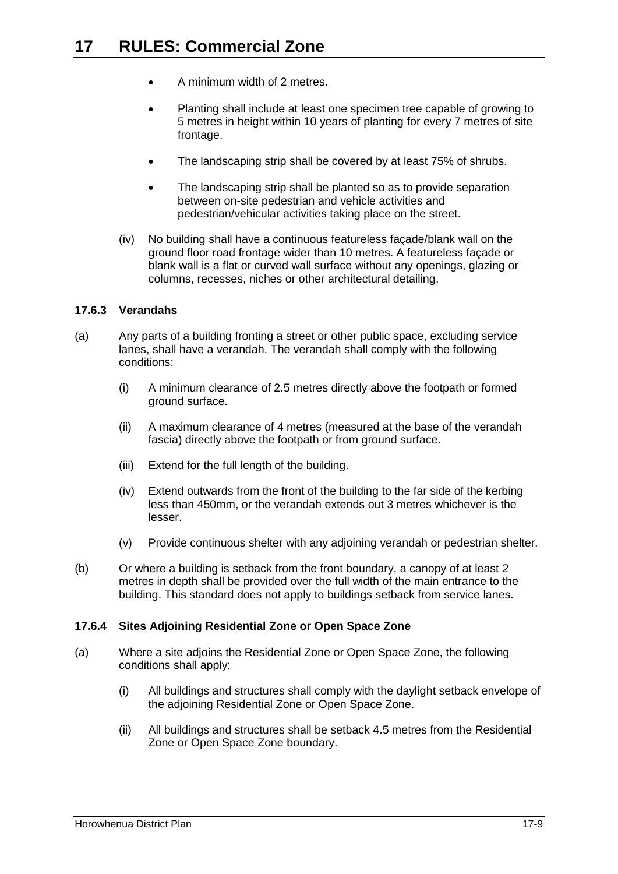- A minimum width of 2 metres.
- Planting shall include at least one specimen tree capable of growing to 5 metres in height within 10 years of planting for every 7 metres of site frontage.
- The landscaping strip shall be covered by at least 75% of shrubs.
- The landscaping strip shall be planted so as to provide separation between on-site pedestrian and vehicle activities and pedestrian/vehicular activities taking place on the street.
- (iv) No building shall have a continuous featureless façade/blank wall on the ground floor road frontage wider than 10 metres. A featureless façade or blank wall is a flat or curved wall surface without any openings, glazing or columns, recesses, niches or other architectural detailing.

#### <span id="page-8-0"></span>**17.6.3 Verandahs**

- (a) Any parts of a building fronting a street or other public space, excluding service lanes, shall have a verandah. The verandah shall comply with the following conditions:
	- (i) A minimum clearance of 2.5 metres directly above the footpath or formed ground surface.
	- (ii) A maximum clearance of 4 metres (measured at the base of the verandah fascia) directly above the footpath or from ground surface.
	- (iii) Extend for the full length of the building.
	- (iv) Extend outwards from the front of the building to the far side of the kerbing less than 450mm, or the verandah extends out 3 metres whichever is the lesser.
	- (v) Provide continuous shelter with any adjoining verandah or pedestrian shelter.
- (b) Or where a building is setback from the front boundary, a canopy of at least 2 metres in depth shall be provided over the full width of the main entrance to the building. This standard does not apply to buildings setback from service lanes.

#### **17.6.4 Sites Adjoining Residential Zone or Open Space Zone**

- (a) Where a site adjoins the Residential Zone or Open Space Zone, the following conditions shall apply:
	- (i) All buildings and structures shall comply with the daylight setback envelope of the adjoining Residential Zone or Open Space Zone.
	- (ii) All buildings and structures shall be setback 4.5 metres from the Residential Zone or Open Space Zone boundary.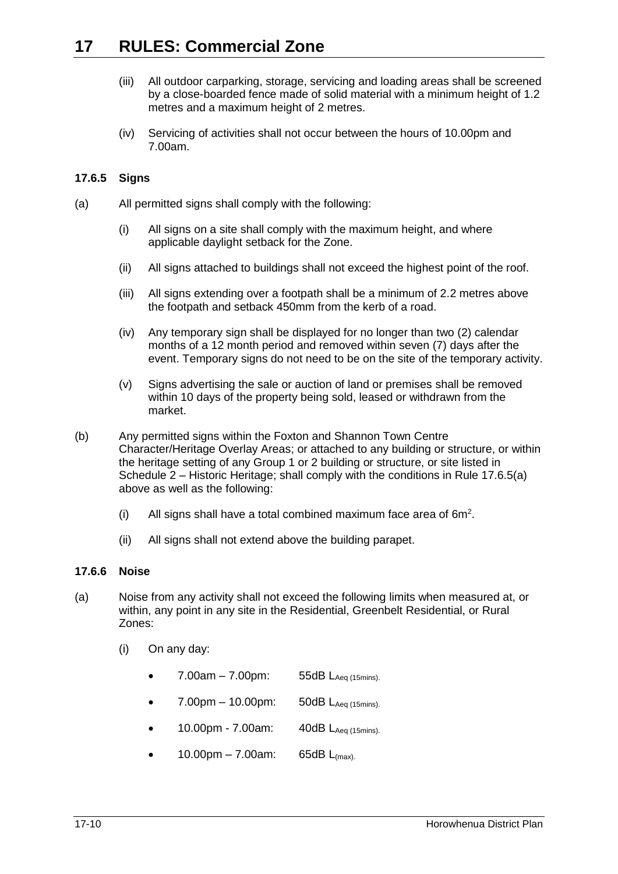- (iii) All outdoor carparking, storage, servicing and loading areas shall be screened by a close-boarded fence made of solid material with a minimum height of 1.2 metres and a maximum height of 2 metres.
- (iv) Servicing of activities shall not occur between the hours of 10.00pm and 7.00am.

### **17.6.5 Signs**

- <span id="page-9-0"></span>(a) All permitted signs shall comply with the following:
	- (i) All signs on a site shall comply with the maximum height, and where applicable daylight setback for the Zone.
	- (ii) All signs attached to buildings shall not exceed the highest point of the roof.
	- (iii) All signs extending over a footpath shall be a minimum of 2.2 metres above the footpath and setback 450mm from the kerb of a road.
	- (iv) Any temporary sign shall be displayed for no longer than two (2) calendar months of a 12 month period and removed within seven (7) days after the event. Temporary signs do not need to be on the site of the temporary activity.
	- (v) Signs advertising the sale or auction of land or premises shall be removed within 10 days of the property being sold, leased or withdrawn from the market.
- (b) Any permitted signs within the Foxton and Shannon Town Centre Character/Heritage Overlay Areas; or attached to any building or structure, or within the heritage setting of any Group 1 or 2 building or structure, or site listed in Schedule 2 – Historic Heritage; shall comply with the conditions in Rule [17.6.5\(a\)](#page-9-0) above as well as the following:
	- (i) All signs shall have a total combined maximum face area of  $6m^2$ .
	- (ii) All signs shall not extend above the building parapet.

#### **17.6.6 Noise**

- <span id="page-9-1"></span>(a) Noise from any activity shall not exceed the following limits when measured at, or within, any point in any site in the Residential, Greenbelt Residential, or Rural Zones:
	- (i) On any day:
		- 7.00am 7.00pm: 55dB  $L_{Aea (15 mins)}$ .
		- 7.00pm 10.00pm: 50dB  $L_{Aeq (15 mins)}$ .
		- $10.00 \text{pm}$   $7.00 \text{am}$ :  $40 \text{dB}$   $L_{\text{Aeq (15 mins)}}$ .
		- $10.00 \text{pm} 7.00 \text{am}$ : 65dB L<sub>(max)</sub>.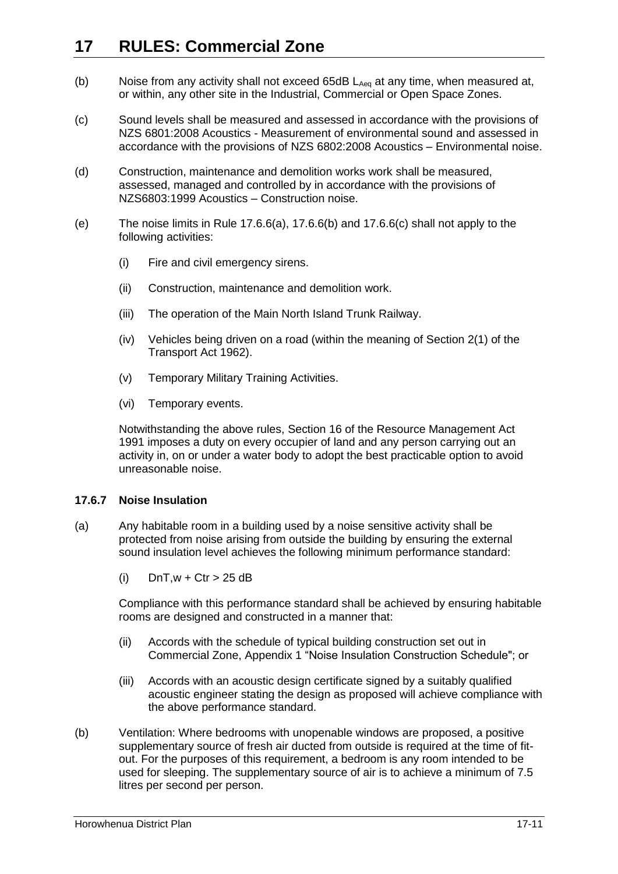- <span id="page-10-0"></span>(b) Noise from any activity shall not exceed 65dB  $L_{Aeq}$  at any time, when measured at, or within, any other site in the Industrial, Commercial or Open Space Zones.
- <span id="page-10-1"></span>(c) Sound levels shall be measured and assessed in accordance with the provisions of NZS 6801:2008 Acoustics - Measurement of environmental sound and assessed in accordance with the provisions of NZS 6802:2008 Acoustics – Environmental noise.
- (d) Construction, maintenance and demolition works work shall be measured, assessed, managed and controlled by in accordance with the provisions of NZS6803:1999 Acoustics – Construction noise.
- (e) The noise limits in Rule  $17.6.6(a)$ ,  $17.6.6(b)$  and  $17.6.6(c)$  shall not apply to the following activities:
	- (i) Fire and civil emergency sirens.
	- (ii) Construction, maintenance and demolition work.
	- (iii) The operation of the Main North Island Trunk Railway.
	- (iv) Vehicles being driven on a road (within the meaning of Section 2(1) of the Transport Act 1962).
	- (v) Temporary Military Training Activities.
	- (vi) Temporary events.

<span id="page-10-2"></span>Notwithstanding the above rules, Section 16 of the Resource Management Act 1991 imposes a duty on every occupier of land and any person carrying out an activity in, on or under a water body to adopt the best practicable option to avoid unreasonable noise.

#### **17.6.7 Noise Insulation**

- (a) Any habitable room in a building used by a noise sensitive activity shall be protected from noise arising from outside the building by ensuring the external sound insulation level achieves the following minimum performance standard:
	- $(i)$  DnT,  $w + C$ tr > 25 dB

Compliance with this performance standard shall be achieved by ensuring habitable rooms are designed and constructed in a manner that:

- (ii) Accords with the schedule of typical building construction set out in Commercial Zone, Appendix 1 "Noise Insulation Construction Schedule"; or
- (iii) Accords with an acoustic design certificate signed by a suitably qualified acoustic engineer stating the design as proposed will achieve compliance with the above performance standard.
- (b) Ventilation: Where bedrooms with unopenable windows are proposed, a positive supplementary source of fresh air ducted from outside is required at the time of fitout. For the purposes of this requirement, a bedroom is any room intended to be used for sleeping. The supplementary source of air is to achieve a minimum of 7.5 litres per second per person.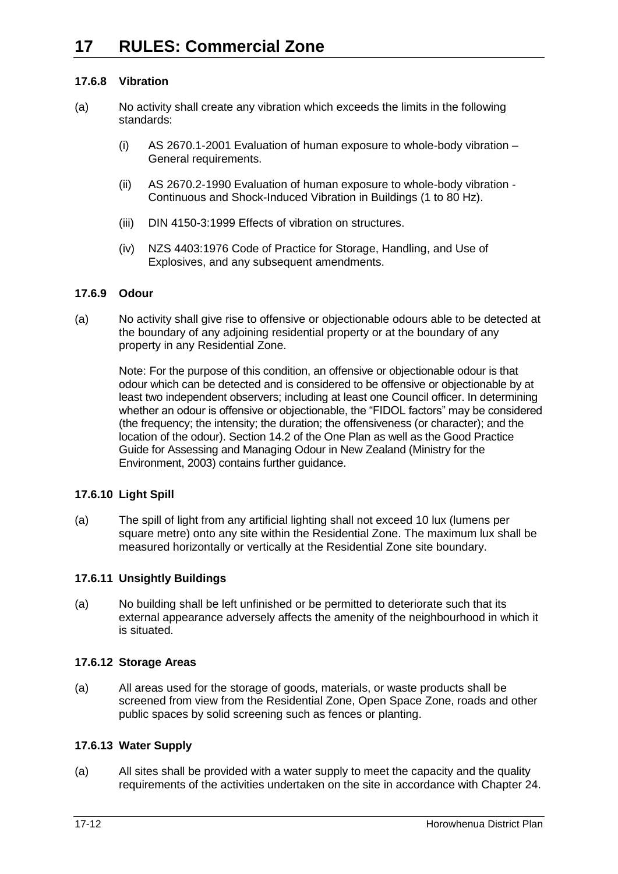### **17.6.8 Vibration**

- (a) No activity shall create any vibration which exceeds the limits in the following standards:
	- (i) AS 2670.1-2001 Evaluation of human exposure to whole-body vibration General requirements.
	- (ii) AS 2670.2-1990 Evaluation of human exposure to whole-body vibration Continuous and Shock-Induced Vibration in Buildings (1 to 80 Hz).
	- (iii) DIN 4150-3:1999 Effects of vibration on structures.
	- (iv) NZS 4403:1976 Code of Practice for Storage, Handling, and Use of Explosives, and any subsequent amendments.

### **17.6.9 Odour**

(a) No activity shall give rise to offensive or objectionable odours able to be detected at the boundary of any adjoining residential property or at the boundary of any property in any Residential Zone.

Note: For the purpose of this condition, an offensive or objectionable odour is that odour which can be detected and is considered to be offensive or objectionable by at least two independent observers; including at least one Council officer. In determining whether an odour is offensive or objectionable, the "FIDOL factors" may be considered (the frequency; the intensity; the duration; the offensiveness (or character); and the location of the odour). Section 14.2 of the One Plan as well as the Good Practice Guide for Assessing and Managing Odour in New Zealand (Ministry for the Environment, 2003) contains further guidance.

#### **17.6.10 Light Spill**

(a) The spill of light from any artificial lighting shall not exceed 10 lux (lumens per square metre) onto any site within the Residential Zone. The maximum lux shall be measured horizontally or vertically at the Residential Zone site boundary.

## **17.6.11 Unsightly Buildings**

(a) No building shall be left unfinished or be permitted to deteriorate such that its external appearance adversely affects the amenity of the neighbourhood in which it is situated.

#### **17.6.12 Storage Areas**

(a) All areas used for the storage of goods, materials, or waste products shall be screened from view from the Residential Zone, Open Space Zone, roads and other public spaces by solid screening such as fences or planting.

#### **17.6.13 Water Supply**

(a) All sites shall be provided with a water supply to meet the capacity and the quality requirements of the activities undertaken on the site in accordance with Chapter 24.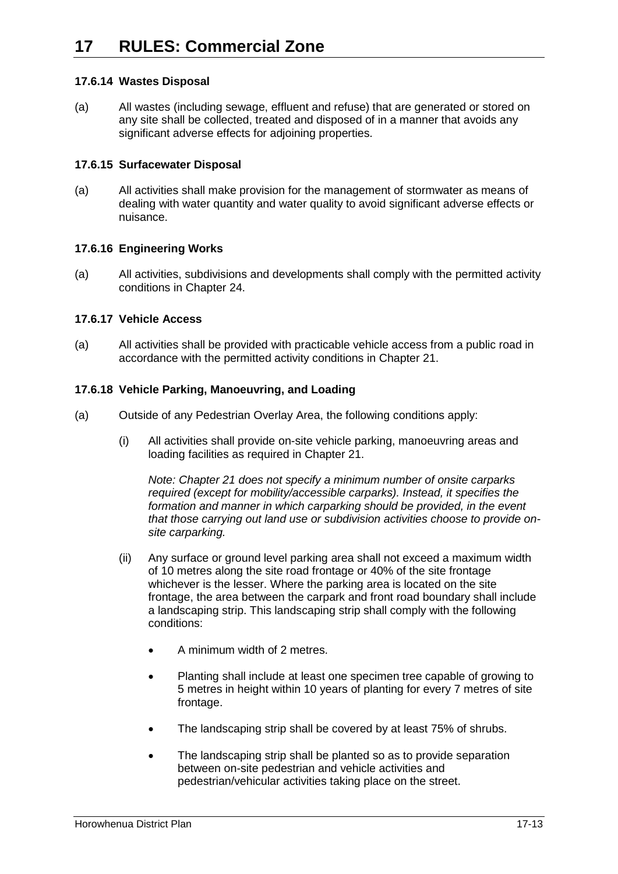#### **17.6.14 Wastes Disposal**

(a) All wastes (including sewage, effluent and refuse) that are generated or stored on any site shall be collected, treated and disposed of in a manner that avoids any significant adverse effects for adjoining properties.

#### **17.6.15 Surfacewater Disposal**

(a) All activities shall make provision for the management of stormwater as means of dealing with water quantity and water quality to avoid significant adverse effects or nuisance.

## **17.6.16 Engineering Works**

(a) All activities, subdivisions and developments shall comply with the permitted activity conditions in Chapter 24.

### **17.6.17 Vehicle Access**

(a) All activities shall be provided with practicable vehicle access from a public road in accordance with the permitted activity conditions in Chapter 21.

### **17.6.18 Vehicle Parking, Manoeuvring, and Loading**

- (a) Outside of any Pedestrian Overlay Area, the following conditions apply:
	- (i) All activities shall provide on-site vehicle parking, manoeuvring areas and loading facilities as required in Chapter 21.

*Note: Chapter 21 does not specify a minimum number of onsite carparks required (except for mobility/accessible carparks). Instead, it specifies the*  formation and manner in which carparking should be provided, in the event *that those carrying out land use or subdivision activities choose to provide onsite carparking.* 

- (ii) Any surface or ground level parking area shall not exceed a maximum width of 10 metres along the site road frontage or 40% of the site frontage whichever is the lesser. Where the parking area is located on the site frontage, the area between the carpark and front road boundary shall include a landscaping strip. This landscaping strip shall comply with the following conditions:
	- A minimum width of 2 metres.
	- Planting shall include at least one specimen tree capable of growing to 5 metres in height within 10 years of planting for every 7 metres of site frontage.
	- The landscaping strip shall be covered by at least 75% of shrubs.
	- The landscaping strip shall be planted so as to provide separation between on-site pedestrian and vehicle activities and pedestrian/vehicular activities taking place on the street.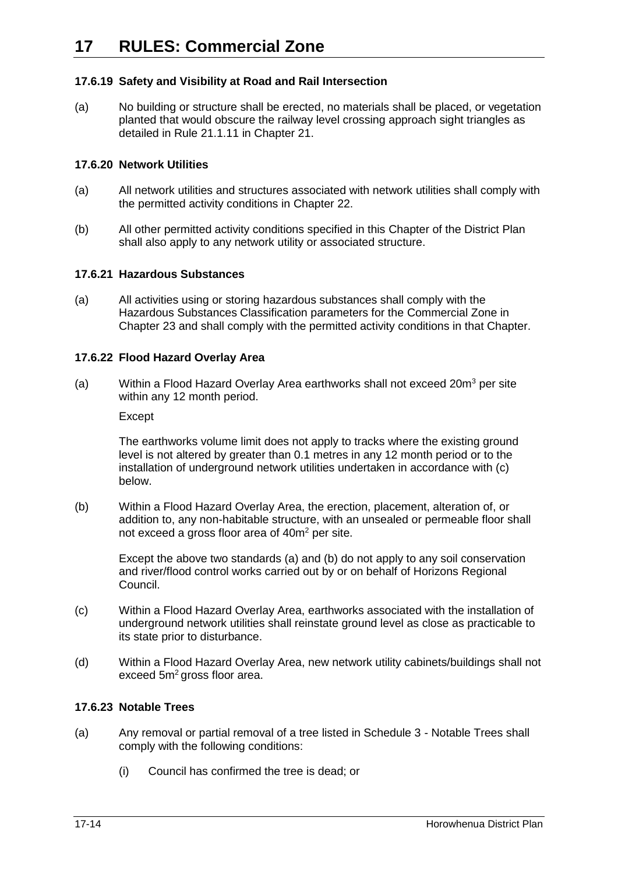### **17.6.19 Safety and Visibility at Road and Rail Intersection**

(a) No building or structure shall be erected, no materials shall be placed, or vegetation planted that would obscure the railway level crossing approach sight triangles as detailed in Rule 21.1.11 in Chapter 21.

#### **17.6.20 Network Utilities**

- (a) All network utilities and structures associated with network utilities shall comply with the permitted activity conditions in Chapter 22.
- (b) All other permitted activity conditions specified in this Chapter of the District Plan shall also apply to any network utility or associated structure.

#### **17.6.21 Hazardous Substances**

(a) All activities using or storing hazardous substances shall comply with the Hazardous Substances Classification parameters for the Commercial Zone in Chapter 23 and shall comply with the permitted activity conditions in that Chapter.

#### <span id="page-13-1"></span>**17.6.22 Flood Hazard Overlay Area**

(a) Within a Flood Hazard Overlay Area earthworks shall not exceed  $20m^3$  per site within any 12 month period.

**Except** 

The earthworks volume limit does not apply to tracks where the existing ground level is not altered by greater than 0.1 metres in any 12 month period or to the installation of underground network utilities undertaken in accordance with (c) below.

(b) Within a Flood Hazard Overlay Area, the erection, placement, alteration of, or addition to, any non-habitable structure, with an unsealed or permeable floor shall not exceed a gross floor area of 40m<sup>2</sup> per site.

Except the above two standards (a) and (b) do not apply to any soil conservation and river/flood control works carried out by or on behalf of Horizons Regional Council.

- (c) Within a Flood Hazard Overlay Area, earthworks associated with the installation of underground network utilities shall reinstate ground level as close as practicable to its state prior to disturbance.
- (d) Within a Flood Hazard Overlay Area, new network utility cabinets/buildings shall not exceed 5m<sup>2</sup> gross floor area.

### <span id="page-13-0"></span>**17.6.23 Notable Trees**

- (a) Any removal or partial removal of a tree listed in Schedule 3 Notable Trees shall comply with the following conditions:
	- (i) Council has confirmed the tree is dead; or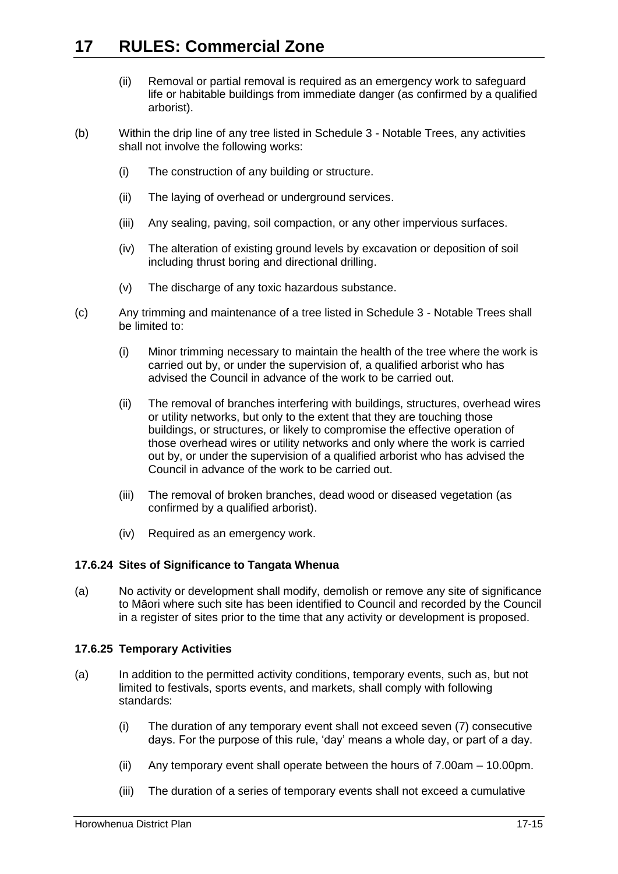- (ii) Removal or partial removal is required as an emergency work to safeguard life or habitable buildings from immediate danger (as confirmed by a qualified arborist).
- (b) Within the drip line of any tree listed in Schedule 3 Notable Trees, any activities shall not involve the following works:
	- (i) The construction of any building or structure.
	- (ii) The laying of overhead or underground services.
	- (iii) Any sealing, paving, soil compaction, or any other impervious surfaces.
	- (iv) The alteration of existing ground levels by excavation or deposition of soil including thrust boring and directional drilling.
	- (v) The discharge of any toxic hazardous substance.
- (c) Any trimming and maintenance of a tree listed in Schedule 3 Notable Trees shall be limited to:
	- (i) Minor trimming necessary to maintain the health of the tree where the work is carried out by, or under the supervision of, a qualified arborist who has advised the Council in advance of the work to be carried out.
	- (ii) The removal of branches interfering with buildings, structures, overhead wires or utility networks, but only to the extent that they are touching those buildings, or structures, or likely to compromise the effective operation of those overhead wires or utility networks and only where the work is carried out by, or under the supervision of a qualified arborist who has advised the Council in advance of the work to be carried out.
	- (iii) The removal of broken branches, dead wood or diseased vegetation (as confirmed by a qualified arborist).
	- (iv) Required as an emergency work.

## **17.6.24 Sites of Significance to Tangata Whenua**

(a) No activity or development shall modify, demolish or remove any site of significance to Māori where such site has been identified to Council and recorded by the Council in a register of sites prior to the time that any activity or development is proposed.

## **17.6.25 Temporary Activities**

- (a) In addition to the permitted activity conditions, temporary events, such as, but not limited to festivals, sports events, and markets, shall comply with following standards:
	- (i) The duration of any temporary event shall not exceed seven (7) consecutive days. For the purpose of this rule, 'day' means a whole day, or part of a day.
	- (ii) Any temporary event shall operate between the hours of 7.00am 10.00pm.
	- (iii) The duration of a series of temporary events shall not exceed a cumulative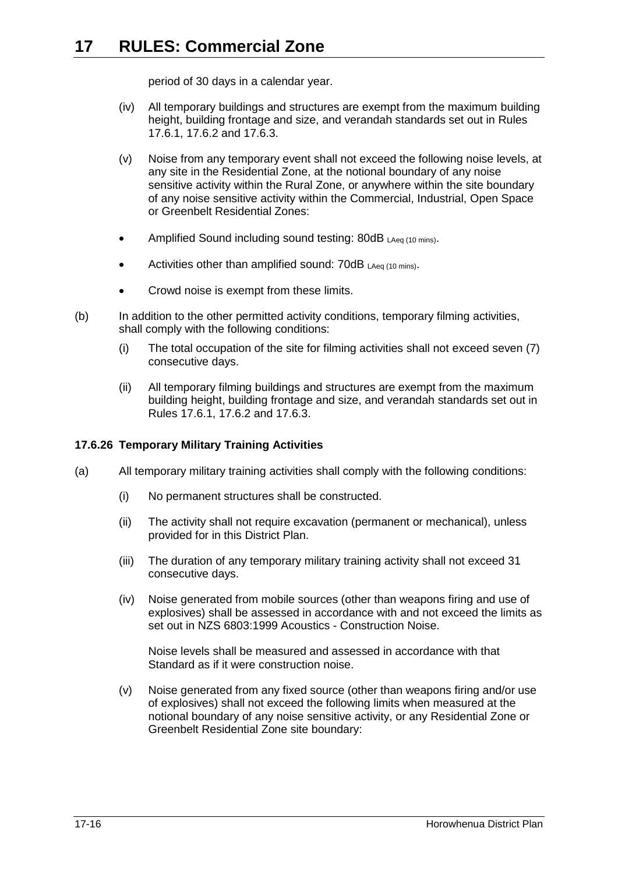period of 30 days in a calendar year.

- (iv) All temporary buildings and structures are exempt from the maximum building height, building frontage and size, and verandah standards set out in Rules [17.6.1,](#page-5-3) [17.6.2](#page-6-0) and [17.6.3.](#page-8-0)
- (v) Noise from any temporary event shall not exceed the following noise levels, at any site in the Residential Zone, at the notional boundary of any noise sensitive activity within the Rural Zone, or anywhere within the site boundary of any noise sensitive activity within the Commercial, Industrial, Open Space or Greenbelt Residential Zones:
- Amplified Sound including sound testing: 80dB LAeq (10 mins).
- $\bullet$  Activities other than amplified sound: 70dB  $_{\text{LAea (10 mins)}}$ .
- Crowd noise is exempt from these limits.
- <span id="page-15-0"></span>(b) In addition to the other permitted activity conditions, temporary filming activities, shall comply with the following conditions:
	- (i) The total occupation of the site for filming activities shall not exceed seven (7) consecutive days.
	- (ii) All temporary filming buildings and structures are exempt from the maximum building height, building frontage and size, and verandah standards set out in Rules [17.6.1,](#page-5-3) [17.6.2](#page-6-0) and [17.6.3.](#page-8-0)

#### <span id="page-15-1"></span>**17.6.26 Temporary Military Training Activities**

- (a) All temporary military training activities shall comply with the following conditions:
	- (i) No permanent structures shall be constructed.
	- (ii) The activity shall not require excavation (permanent or mechanical), unless provided for in this District Plan.
	- (iii) The duration of any temporary military training activity shall not exceed 31 consecutive days.
	- (iv) Noise generated from mobile sources (other than weapons firing and use of explosives) shall be assessed in accordance with and not exceed the limits as set out in NZS 6803:1999 Acoustics - Construction Noise.

Noise levels shall be measured and assessed in accordance with that Standard as if it were construction noise.

(v) Noise generated from any fixed source (other than weapons firing and/or use of explosives) shall not exceed the following limits when measured at the notional boundary of any noise sensitive activity, or any Residential Zone or Greenbelt Residential Zone site boundary: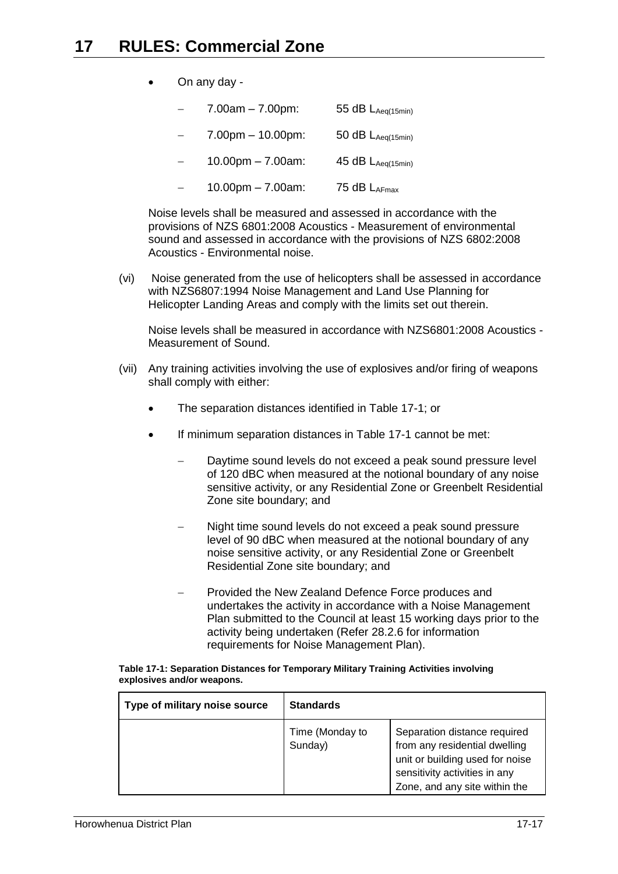On any day -

|  | $7.00am - 7.00pm:$ | 55 $dB$ $L_{Aeq(15min)}$ |
|--|--------------------|--------------------------|
|--|--------------------|--------------------------|

- 7.00pm 10.00pm: 50 dB  $L_{Aeq(15min)}$
- 10.00pm 7.00am:  $45 dB L_{Aeq(15min)}$
- 10.00pm 7.00am: 75 dB  $L_{AFmax}$

Noise levels shall be measured and assessed in accordance with the provisions of NZS 6801:2008 Acoustics - Measurement of environmental sound and assessed in accordance with the provisions of NZS 6802:2008 Acoustics - Environmental noise.

(vi) Noise generated from the use of helicopters shall be assessed in accordance with NZS6807:1994 Noise Management and Land Use Planning for Helicopter Landing Areas and comply with the limits set out therein.

Noise levels shall be measured in accordance with NZS6801:2008 Acoustics - Measurement of Sound.

- (vii) Any training activities involving the use of explosives and/or firing of weapons shall comply with either:
	- The separation distances identified in Table 17-1; or
	- If minimum separation distances in Table 17-1 cannot be met:
		- Daytime sound levels do not exceed a peak sound pressure level of 120 dBC when measured at the notional boundary of any noise sensitive activity, or any Residential Zone or Greenbelt Residential Zone site boundary; and
		- Night time sound levels do not exceed a peak sound pressure level of 90 dBC when measured at the notional boundary of any noise sensitive activity, or any Residential Zone or Greenbelt Residential Zone site boundary; and
		- Provided the New Zealand Defence Force produces and undertakes the activity in accordance with a Noise Management Plan submitted to the Council at least 15 working days prior to the activity being undertaken (Refer 28.2.6 for information requirements for Noise Management Plan).

| Type of military noise source | <b>Standards</b>           |                                                                                                                                                                    |
|-------------------------------|----------------------------|--------------------------------------------------------------------------------------------------------------------------------------------------------------------|
|                               | Time (Monday to<br>Sunday) | Separation distance required<br>from any residential dwelling<br>unit or building used for noise<br>sensitivity activities in any<br>Zone, and any site within the |

| Table 17-1: Separation Distances for Temporary Military Training Activities involving |  |
|---------------------------------------------------------------------------------------|--|
| explosives and/or weapons.                                                            |  |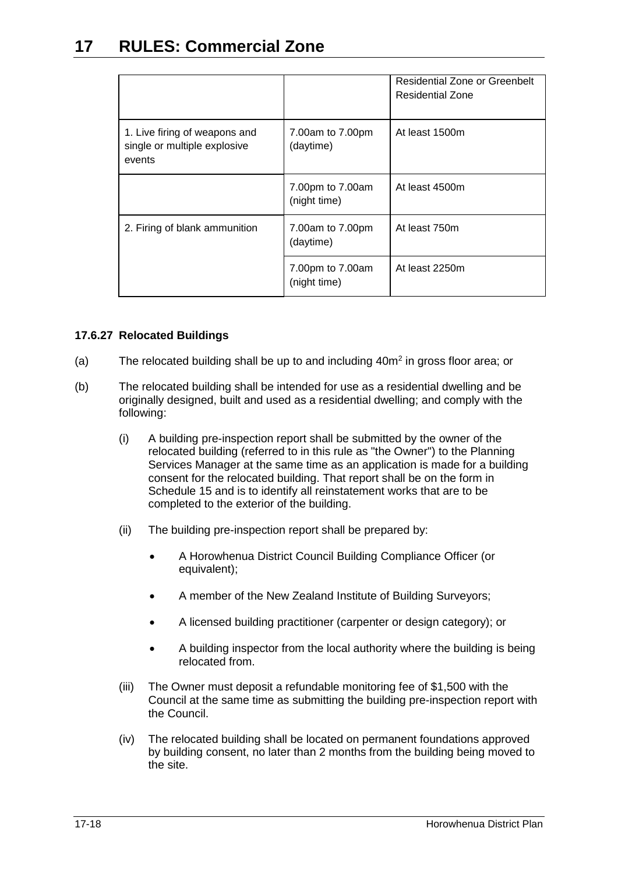|                                                                         |                                  | <b>Residential Zone or Greenbelt</b><br>Residential Zone |
|-------------------------------------------------------------------------|----------------------------------|----------------------------------------------------------|
| 1. Live firing of weapons and<br>single or multiple explosive<br>events | 7.00am to 7.00pm<br>(daytime)    | At least 1500m                                           |
|                                                                         | 7.00pm to 7.00am<br>(night time) | At least 4500m                                           |
| 2. Firing of blank ammunition                                           | 7.00am to 7.00pm<br>(daytime)    | At least 750m                                            |
|                                                                         | 7.00pm to 7.00am<br>(night time) | At least 2250m                                           |

## **17.6.27 Relocated Buildings**

- (a) The relocated building shall be up to and including  $40m^2$  in gross floor area; or
- <span id="page-17-0"></span>(b) The relocated building shall be intended for use as a residential dwelling and be originally designed, built and used as a residential dwelling; and comply with the following:
	- (i) A building pre-inspection report shall be submitted by the owner of the relocated building (referred to in this rule as "the Owner") to the Planning Services Manager at the same time as an application is made for a building consent for the relocated building. That report shall be on the form in Schedule 15 and is to identify all reinstatement works that are to be completed to the exterior of the building.
	- (ii) The building pre-inspection report shall be prepared by:
		- A Horowhenua District Council Building Compliance Officer (or equivalent);
		- A member of the New Zealand Institute of Building Surveyors;
		- A licensed building practitioner (carpenter or design category); or
		- A building inspector from the local authority where the building is being relocated from.
	- (iii) The Owner must deposit a refundable monitoring fee of \$1,500 with the Council at the same time as submitting the building pre-inspection report with the Council.
	- (iv) The relocated building shall be located on permanent foundations approved by building consent, no later than 2 months from the building being moved to the site.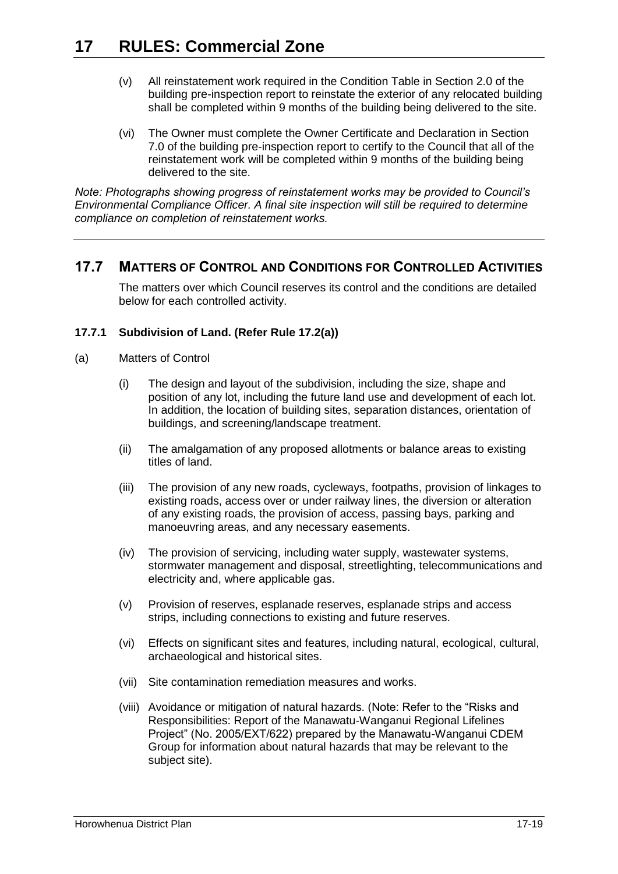- (v) All reinstatement work required in the Condition Table in Section 2.0 of the building pre-inspection report to reinstate the exterior of any relocated building shall be completed within 9 months of the building being delivered to the site.
- (vi) The Owner must complete the Owner Certificate and Declaration in Section 7.0 of the building pre-inspection report to certify to the Council that all of the reinstatement work will be completed within 9 months of the building being delivered to the site.

*Note: Photographs showing progress of reinstatement works may be provided to Council's Environmental Compliance Officer. A final site inspection will still be required to determine compliance on completion of reinstatement works.*

# <span id="page-18-0"></span>**17.7 MATTERS OF CONTROL AND CONDITIONS FOR CONTROLLED ACTIVITIES**

The matters over which Council reserves its control and the conditions are detailed below for each controlled activity.

## <span id="page-18-1"></span>**17.7.1 Subdivision of Land. (Refer Rule [17.2\(a\)\)](#page-2-0)**

- (a) Matters of Control
	- (i) The design and layout of the subdivision, including the size, shape and position of any lot, including the future land use and development of each lot. In addition, the location of building sites, separation distances, orientation of buildings, and screening/landscape treatment.
	- (ii) The amalgamation of any proposed allotments or balance areas to existing titles of land.
	- (iii) The provision of any new roads, cycleways, footpaths, provision of linkages to existing roads, access over or under railway lines, the diversion or alteration of any existing roads, the provision of access, passing bays, parking and manoeuvring areas, and any necessary easements.
	- (iv) The provision of servicing, including water supply, wastewater systems, stormwater management and disposal, streetlighting, telecommunications and electricity and, where applicable gas.
	- (v) Provision of reserves, esplanade reserves, esplanade strips and access strips, including connections to existing and future reserves.
	- (vi) Effects on significant sites and features, including natural, ecological, cultural, archaeological and historical sites.
	- (vii) Site contamination remediation measures and works.
	- (viii) Avoidance or mitigation of natural hazards. (Note: Refer to the "Risks and Responsibilities: Report of the Manawatu-Wanganui Regional Lifelines Project" (No. 2005/EXT/622) prepared by the Manawatu-Wanganui CDEM Group for information about natural hazards that may be relevant to the subject site).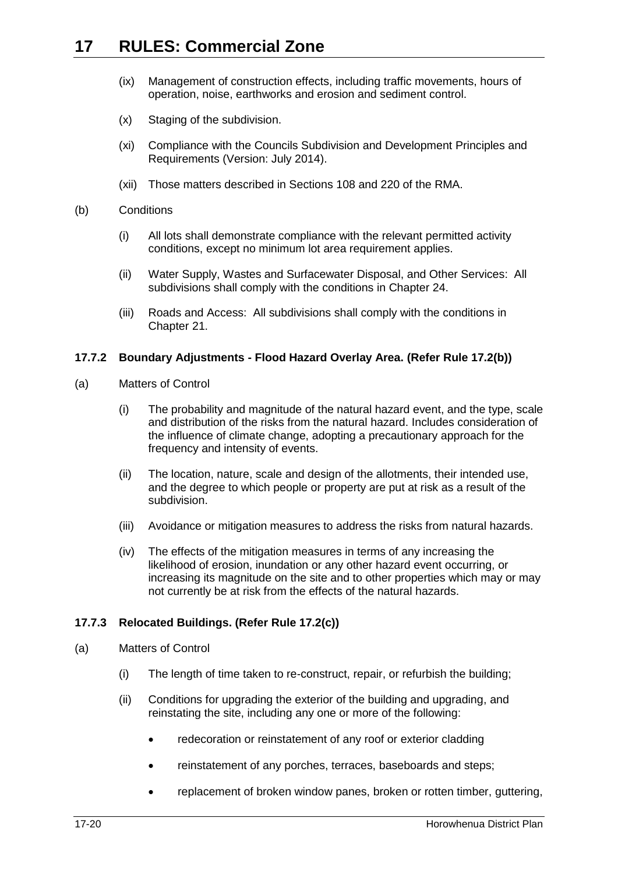- (ix) Management of construction effects, including traffic movements, hours of operation, noise, earthworks and erosion and sediment control.
- (x) Staging of the subdivision.
- (xi) Compliance with the Councils Subdivision and Development Principles and Requirements (Version: July 2014).
- (xii) Those matters described in Sections 108 and 220 of the RMA.
- (b) Conditions
	- (i) All lots shall demonstrate compliance with the relevant permitted activity conditions, except no minimum lot area requirement applies.
	- (ii) Water Supply, Wastes and Surfacewater Disposal, and Other Services: All subdivisions shall comply with the conditions in Chapter 24.
	- (iii) Roads and Access: All subdivisions shall comply with the conditions in Chapter 21.

#### <span id="page-19-0"></span>**17.7.2 Boundary Adjustments - Flood Hazard Overlay Area. (Refer Rule [17.2\(b\)\)](#page-3-0)**

- (a) Matters of Control
	- (i) The probability and magnitude of the natural hazard event, and the type, scale and distribution of the risks from the natural hazard. Includes consideration of the influence of climate change, adopting a precautionary approach for the frequency and intensity of events.
	- (ii) The location, nature, scale and design of the allotments, their intended use, and the degree to which people or property are put at risk as a result of the subdivision.
	- (iii) Avoidance or mitigation measures to address the risks from natural hazards.
	- (iv) The effects of the mitigation measures in terms of any increasing the likelihood of erosion, inundation or any other hazard event occurring, or increasing its magnitude on the site and to other properties which may or may not currently be at risk from the effects of the natural hazards.

### <span id="page-19-1"></span>**17.7.3 Relocated Buildings. (Refer Rule [17.2\(c\)\)](#page-3-1)**

- (a) Matters of Control
	- (i) The length of time taken to re-construct, repair, or refurbish the building;
	- (ii) Conditions for upgrading the exterior of the building and upgrading, and reinstating the site, including any one or more of the following:
		- redecoration or reinstatement of any roof or exterior cladding
		- reinstatement of any porches, terraces, baseboards and steps;
		- replacement of broken window panes, broken or rotten timber, guttering,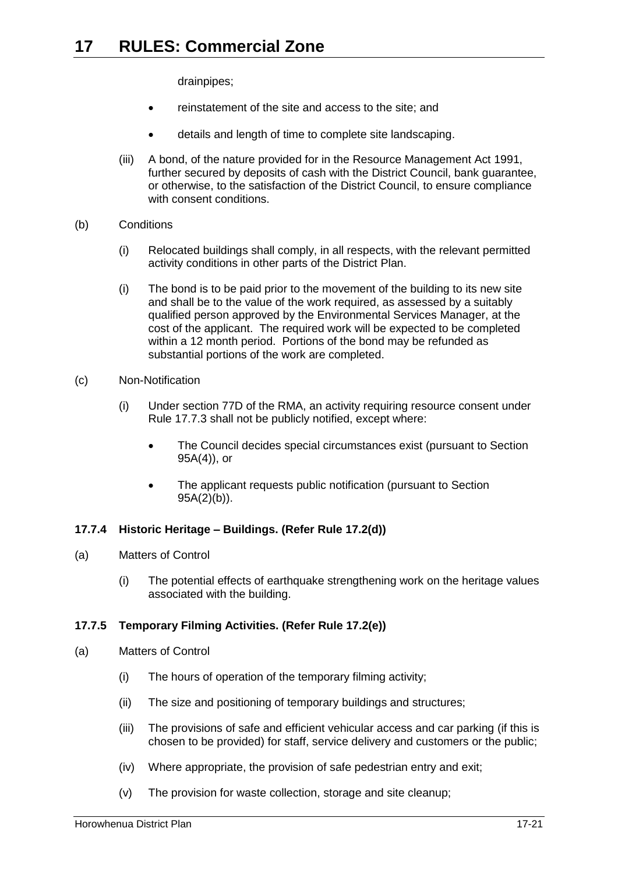drainpipes;

- reinstatement of the site and access to the site; and
- details and length of time to complete site landscaping.
- (iii) A bond, of the nature provided for in the Resource Management Act 1991, further secured by deposits of cash with the District Council, bank guarantee, or otherwise, to the satisfaction of the District Council, to ensure compliance with consent conditions.
- (b) Conditions
	- (i) Relocated buildings shall comply, in all respects, with the relevant permitted activity conditions in other parts of the District Plan.
	- (i) The bond is to be paid prior to the movement of the building to its new site and shall be to the value of the work required, as assessed by a suitably qualified person approved by the Environmental Services Manager, at the cost of the applicant. The required work will be expected to be completed within a 12 month period. Portions of the bond may be refunded as substantial portions of the work are completed.
- (c) Non-Notification
	- (i) Under section 77D of the RMA, an activity requiring resource consent under Rule [17.7.3](#page-19-1) shall not be publicly notified, except where:
		- The Council decides special circumstances exist (pursuant to Section 95A(4)), or
		- The applicant requests public notification (pursuant to Section 95A(2)(b)).

#### <span id="page-20-0"></span>**17.7.4 Historic Heritage – Buildings. (Refer Rule [17.2\(d\)\)](#page-3-2)**

- (a) Matters of Control
	- (i) The potential effects of earthquake strengthening work on the heritage values associated with the building.

#### <span id="page-20-1"></span>**17.7.5 Temporary Filming Activities. (Refer Rule [17.2\(e\)\)](#page-3-3)**

- (a) Matters of Control
	- (i) The hours of operation of the temporary filming activity;
	- (ii) The size and positioning of temporary buildings and structures;
	- (iii) The provisions of safe and efficient vehicular access and car parking (if this is chosen to be provided) for staff, service delivery and customers or the public;
	- (iv) Where appropriate, the provision of safe pedestrian entry and exit;
	- (v) The provision for waste collection, storage and site cleanup;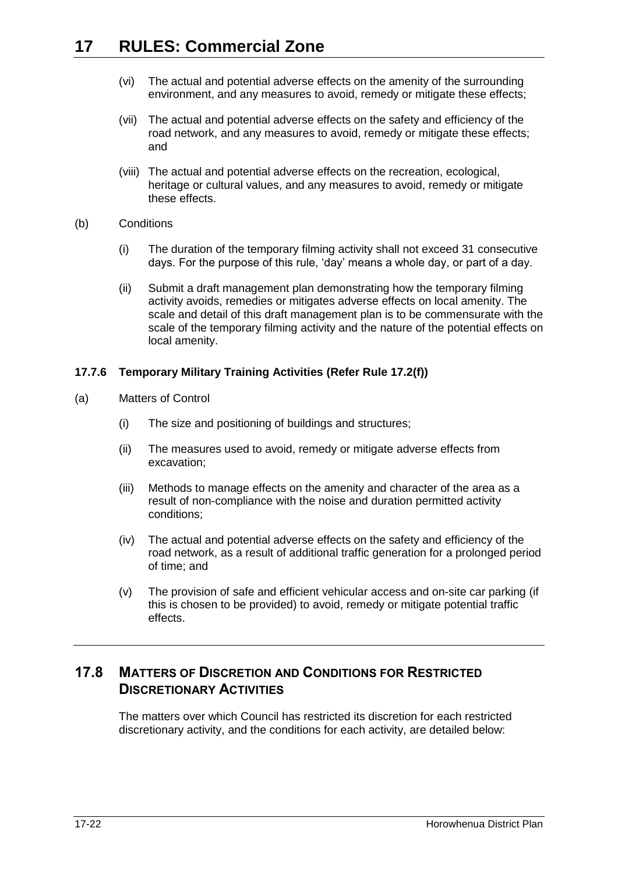- (vi) The actual and potential adverse effects on the amenity of the surrounding environment, and any measures to avoid, remedy or mitigate these effects;
- (vii) The actual and potential adverse effects on the safety and efficiency of the road network, and any measures to avoid, remedy or mitigate these effects; and
- (viii) The actual and potential adverse effects on the recreation, ecological, heritage or cultural values, and any measures to avoid, remedy or mitigate these effects.
- (b) Conditions
	- (i) The duration of the temporary filming activity shall not exceed 31 consecutive days. For the purpose of this rule, 'day' means a whole day, or part of a day.
	- (ii) Submit a draft management plan demonstrating how the temporary filming activity avoids, remedies or mitigates adverse effects on local amenity. The scale and detail of this draft management plan is to be commensurate with the scale of the temporary filming activity and the nature of the potential effects on local amenity.

## <span id="page-21-0"></span>**17.7.6 Temporary Military Training Activities (Refer Rule [17.2\(f\)\)](#page-3-4)**

- (a) Matters of Control
	- (i) The size and positioning of buildings and structures;
	- (ii) The measures used to avoid, remedy or mitigate adverse effects from excavation;
	- (iii) Methods to manage effects on the amenity and character of the area as a result of non-compliance with the noise and duration permitted activity conditions;
	- (iv) The actual and potential adverse effects on the safety and efficiency of the road network, as a result of additional traffic generation for a prolonged period of time; and
	- (v) The provision of safe and efficient vehicular access and on-site car parking (if this is chosen to be provided) to avoid, remedy or mitigate potential traffic effects.

# <span id="page-21-1"></span>**17.8 MATTERS OF DISCRETION AND CONDITIONS FOR RESTRICTED DISCRETIONARY ACTIVITIES**

The matters over which Council has restricted its discretion for each restricted discretionary activity, and the conditions for each activity, are detailed below: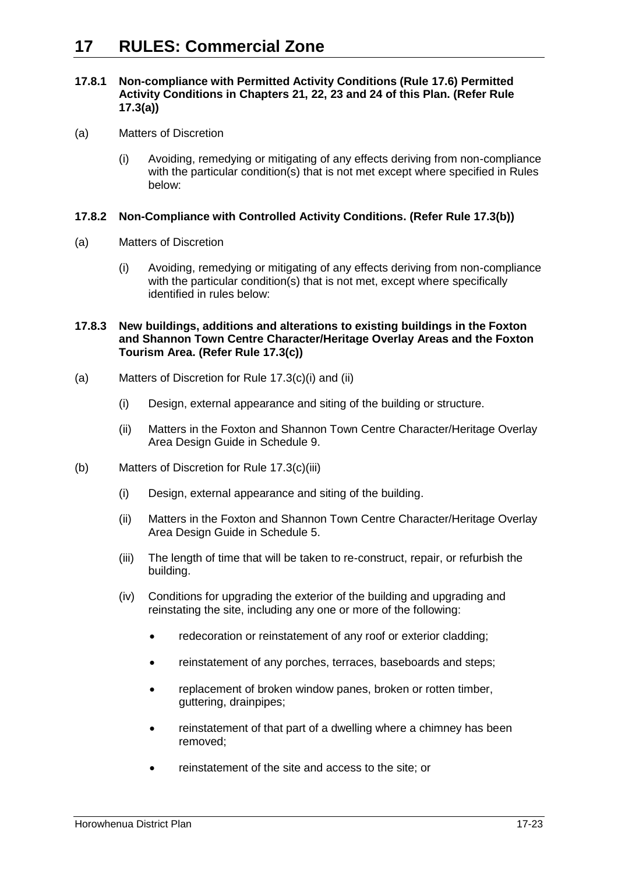#### <span id="page-22-0"></span>**17.8.1 Non-compliance with Permitted Activity Conditions (Rule [17.6\)](#page-5-0) Permitted Activity Conditions in Chapters 21, 22, 23 and 24 of this Plan. (Refer Rule [17.3\(a\)\)](#page-3-5)**

- (a) Matters of Discretion
	- (i) Avoiding, remedying or mitigating of any effects deriving from non-compliance with the particular condition(s) that is not met except where specified in Rules below:

#### <span id="page-22-1"></span>**17.8.2 Non-Compliance with Controlled Activity Conditions. (Refer Rule [17.3\(b\)\)](#page-3-6)**

- (a) Matters of Discretion
	- (i) Avoiding, remedying or mitigating of any effects deriving from non-compliance with the particular condition(s) that is not met, except where specifically identified in rules below:

#### <span id="page-22-2"></span>**17.8.3 New buildings, additions and alterations to existing buildings in the Foxton and Shannon Town Centre Character/Heritage Overlay Areas and the Foxton Tourism Area. (Refer Rule [17.3\(c\)\)](#page-3-7)**

- (a) Matters of Discretion for Rule [17.3\(c\)\(i\)](#page-3-8) and [\(ii\)](#page-3-9)
	- (i) Design, external appearance and siting of the building or structure.
	- (ii) Matters in the Foxton and Shannon Town Centre Character/Heritage Overlay Area Design Guide in Schedule 9.
- (b) Matters of Discretion for Rule [17.3\(c\)\(iii\)](#page-3-10)
	- (i) Design, external appearance and siting of the building.
	- (ii) Matters in the Foxton and Shannon Town Centre Character/Heritage Overlay Area Design Guide in Schedule 5.
	- (iii) The length of time that will be taken to re-construct, repair, or refurbish the building.
	- (iv) Conditions for upgrading the exterior of the building and upgrading and reinstating the site, including any one or more of the following:
		- redecoration or reinstatement of any roof or exterior cladding:
		- reinstatement of any porches, terraces, baseboards and steps;
		- replacement of broken window panes, broken or rotten timber, guttering, drainpipes;
		- reinstatement of that part of a dwelling where a chimney has been removed;
		- reinstatement of the site and access to the site; or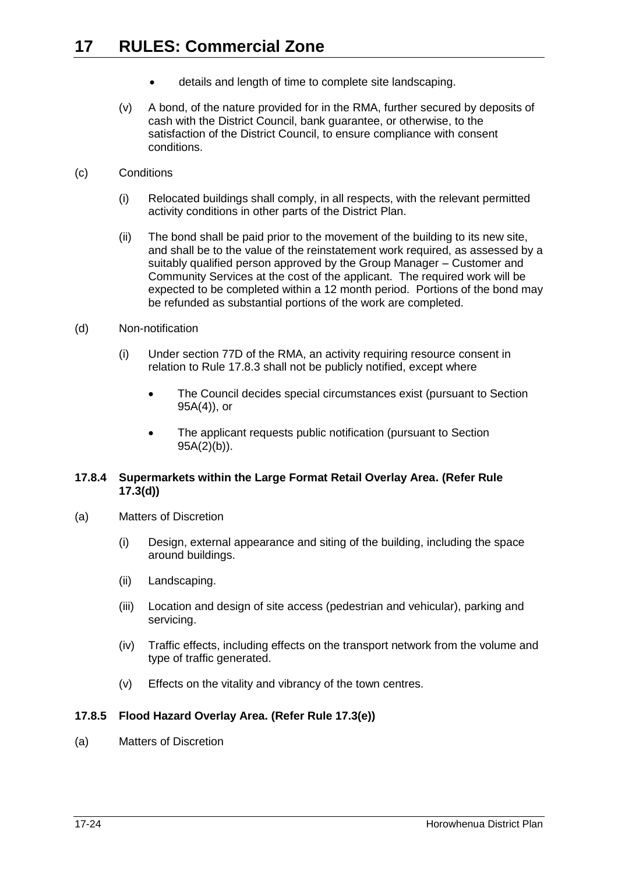- details and length of time to complete site landscaping.
- (v) A bond, of the nature provided for in the RMA, further secured by deposits of cash with the District Council, bank guarantee, or otherwise, to the satisfaction of the District Council, to ensure compliance with consent conditions.
- (c) Conditions
	- (i) Relocated buildings shall comply, in all respects, with the relevant permitted activity conditions in other parts of the District Plan.
	- (ii) The bond shall be paid prior to the movement of the building to its new site, and shall be to the value of the reinstatement work required, as assessed by a suitably qualified person approved by the Group Manager – Customer and Community Services at the cost of the applicant. The required work will be expected to be completed within a 12 month period. Portions of the bond may be refunded as substantial portions of the work are completed.
- (d) Non-notification
	- (i) Under section 77D of the RMA, an activity requiring resource consent in relation to Rule [17.8.3](#page-22-2) shall not be publicly notified, except where
		- The Council decides special circumstances exist (pursuant to Section 95A(4)), or
		- The applicant requests public notification (pursuant to Section  $95A(2)(b)$ ).

#### <span id="page-23-0"></span>**17.8.4 Supermarkets within the Large Format Retail Overlay Area. (Refer Rule [17.3\(d\)\)](#page-3-11)**

- (a) Matters of Discretion
	- (i) Design, external appearance and siting of the building, including the space around buildings.
	- (ii) Landscaping.
	- (iii) Location and design of site access (pedestrian and vehicular), parking and servicing.
	- (iv) Traffic effects, including effects on the transport network from the volume and type of traffic generated.
	- (v) Effects on the vitality and vibrancy of the town centres.

#### <span id="page-23-1"></span>**17.8.5 Flood Hazard Overlay Area. (Refer Rule [17.3\(e\)\)](#page-3-12)**

(a) Matters of Discretion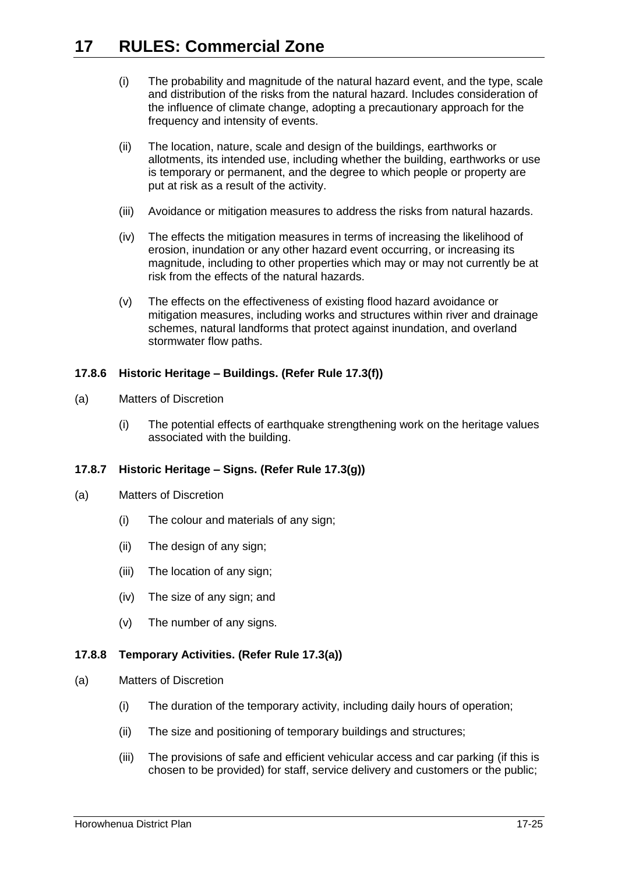- (i) The probability and magnitude of the natural hazard event, and the type, scale and distribution of the risks from the natural hazard. Includes consideration of the influence of climate change, adopting a precautionary approach for the frequency and intensity of events.
- (ii) The location, nature, scale and design of the buildings, earthworks or allotments, its intended use, including whether the building, earthworks or use is temporary or permanent, and the degree to which people or property are put at risk as a result of the activity.
- (iii) Avoidance or mitigation measures to address the risks from natural hazards.
- (iv) The effects the mitigation measures in terms of increasing the likelihood of erosion, inundation or any other hazard event occurring, or increasing its magnitude, including to other properties which may or may not currently be at risk from the effects of the natural hazards.
- (v) The effects on the effectiveness of existing flood hazard avoidance or mitigation measures, including works and structures within river and drainage schemes, natural landforms that protect against inundation, and overland stormwater flow paths.

### <span id="page-24-0"></span>**17.8.6 Historic Heritage – Buildings. (Refer Rule [17.3\(f\)\)](#page-4-0)**

- (a) Matters of Discretion
	- (i) The potential effects of earthquake strengthening work on the heritage values associated with the building.

## <span id="page-24-1"></span>**17.8.7 Historic Heritage – Signs. (Refer Rule [17.3\(g\)\)](#page-4-1)**

- (a) Matters of Discretion
	- (i) The colour and materials of any sign;
	- (ii) The design of any sign;
	- (iii) The location of any sign;
	- (iv) The size of any sign; and
	- (v) The number of any signs.

#### **17.8.8 Temporary Activities. (Refer Rule [17.3\(a\)\)](#page-3-5)**

- (a) Matters of Discretion
	- (i) The duration of the temporary activity, including daily hours of operation;
	- (ii) The size and positioning of temporary buildings and structures;
	- (iii) The provisions of safe and efficient vehicular access and car parking (if this is chosen to be provided) for staff, service delivery and customers or the public;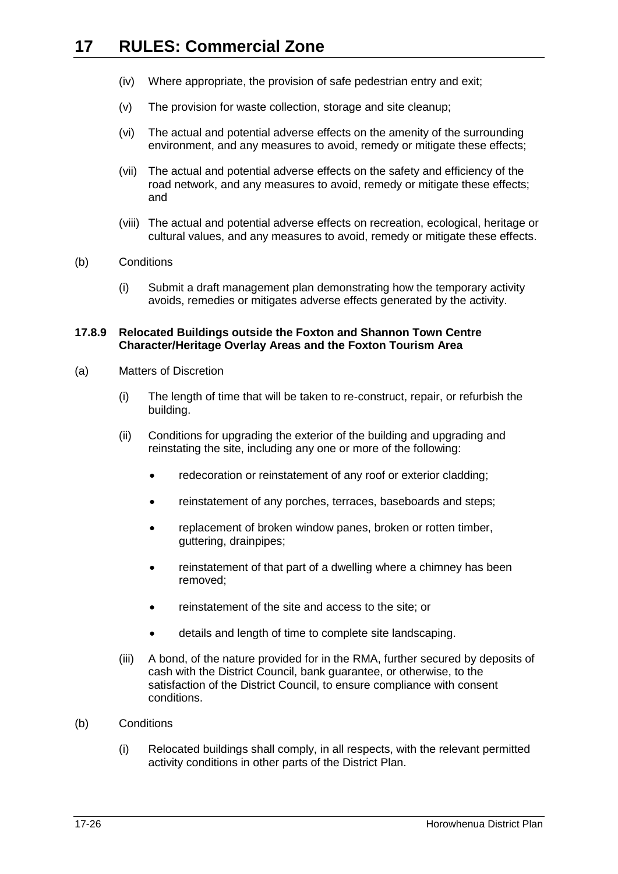- (iv) Where appropriate, the provision of safe pedestrian entry and exit;
- (v) The provision for waste collection, storage and site cleanup;
- (vi) The actual and potential adverse effects on the amenity of the surrounding environment, and any measures to avoid, remedy or mitigate these effects;
- (vii) The actual and potential adverse effects on the safety and efficiency of the road network, and any measures to avoid, remedy or mitigate these effects; and
- (viii) The actual and potential adverse effects on recreation, ecological, heritage or cultural values, and any measures to avoid, remedy or mitigate these effects.

#### (b) Conditions

(i) Submit a draft management plan demonstrating how the temporary activity avoids, remedies or mitigates adverse effects generated by the activity.

#### <span id="page-25-0"></span>**17.8.9 Relocated Buildings outside the Foxton and Shannon Town Centre Character/Heritage Overlay Areas and the Foxton Tourism Area**

- (a) Matters of Discretion
	- (i) The length of time that will be taken to re-construct, repair, or refurbish the building.
	- (ii) Conditions for upgrading the exterior of the building and upgrading and reinstating the site, including any one or more of the following:
		- redecoration or reinstatement of any roof or exterior cladding;
		- reinstatement of any porches, terraces, baseboards and steps:
		- replacement of broken window panes, broken or rotten timber, guttering, drainpipes;
		- reinstatement of that part of a dwelling where a chimney has been removed;
		- reinstatement of the site and access to the site; or
		- details and length of time to complete site landscaping.
	- (iii) A bond, of the nature provided for in the RMA, further secured by deposits of cash with the District Council, bank guarantee, or otherwise, to the satisfaction of the District Council, to ensure compliance with consent conditions.
- (b) Conditions
	- (i) Relocated buildings shall comply, in all respects, with the relevant permitted activity conditions in other parts of the District Plan.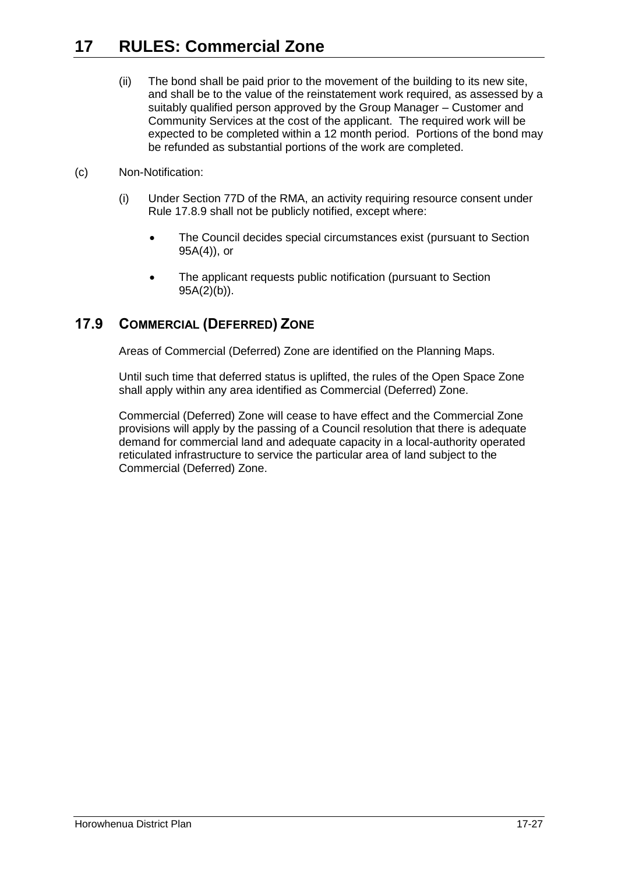- (ii) The bond shall be paid prior to the movement of the building to its new site, and shall be to the value of the reinstatement work required, as assessed by a suitably qualified person approved by the Group Manager – Customer and Community Services at the cost of the applicant. The required work will be expected to be completed within a 12 month period. Portions of the bond may be refunded as substantial portions of the work are completed.
- (c) Non-Notification:
	- (i) Under Section 77D of the RMA, an activity requiring resource consent under Rule [17.8.9](#page-25-0) shall not be publicly notified, except where:
		- The Council decides special circumstances exist (pursuant to Section 95A(4)), or
		- The applicant requests public notification (pursuant to Section 95A(2)(b)).

# **17.9 COMMERCIAL (DEFERRED) ZONE**

Areas of Commercial (Deferred) Zone are identified on the Planning Maps.

Until such time that deferred status is uplifted, the rules of the Open Space Zone shall apply within any area identified as Commercial (Deferred) Zone.

Commercial (Deferred) Zone will cease to have effect and the Commercial Zone provisions will apply by the passing of a Council resolution that there is adequate demand for commercial land and adequate capacity in a local-authority operated reticulated infrastructure to service the particular area of land subject to the Commercial (Deferred) Zone.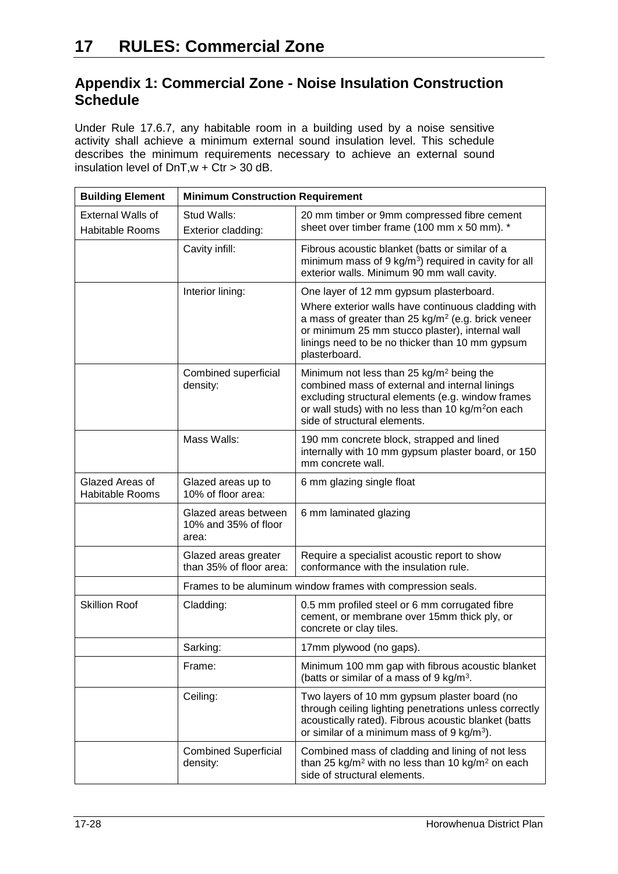# **Appendix 1: Commercial Zone - Noise Insulation Construction Schedule**

Under Rule [17.6.7,](#page-10-2) any habitable room in a building used by a noise sensitive activity shall achieve a minimum external sound insulation level. This schedule describes the minimum requirements necessary to achieve an external sound insulation level of  $DnT, w + Ctr > 30$  dB.

| <b>Building Element</b>                            | <b>Minimum Construction Requirement</b>                     |                                                                                                                                                                                                                                                                                        |
|----------------------------------------------------|-------------------------------------------------------------|----------------------------------------------------------------------------------------------------------------------------------------------------------------------------------------------------------------------------------------------------------------------------------------|
| <b>External Walls of</b><br><b>Habitable Rooms</b> | Stud Walls:<br>Exterior cladding:                           | 20 mm timber or 9mm compressed fibre cement<br>sheet over timber frame (100 mm x 50 mm). *                                                                                                                                                                                             |
|                                                    | Cavity infill:                                              | Fibrous acoustic blanket (batts or similar of a<br>minimum mass of 9 kg/m <sup>3</sup> ) required in cavity for all<br>exterior walls. Minimum 90 mm wall cavity.                                                                                                                      |
|                                                    | Interior lining:                                            | One layer of 12 mm gypsum plasterboard.<br>Where exterior walls have continuous cladding with<br>a mass of greater than 25 kg/m <sup>2</sup> (e.g. brick veneer<br>or minimum 25 mm stucco plaster), internal wall<br>linings need to be no thicker than 10 mm gypsum<br>plasterboard. |
|                                                    | Combined superficial<br>density:                            | Minimum not less than 25 kg/m <sup>2</sup> being the<br>combined mass of external and internal linings<br>excluding structural elements (e.g. window frames<br>or wall studs) with no less than 10 kg/m <sup>2</sup> on each<br>side of structural elements.                           |
|                                                    | Mass Walls:                                                 | 190 mm concrete block, strapped and lined<br>internally with 10 mm gypsum plaster board, or 150<br>mm concrete wall.                                                                                                                                                                   |
| Glazed Areas of<br><b>Habitable Rooms</b>          | Glazed areas up to<br>10% of floor area:                    | 6 mm glazing single float                                                                                                                                                                                                                                                              |
|                                                    | Glazed areas between<br>10% and 35% of floor<br>area:       | 6 mm laminated glazing                                                                                                                                                                                                                                                                 |
|                                                    | Glazed areas greater<br>than 35% of floor area:             | Require a specialist acoustic report to show<br>conformance with the insulation rule.                                                                                                                                                                                                  |
|                                                    | Frames to be aluminum window frames with compression seals. |                                                                                                                                                                                                                                                                                        |
| <b>Skillion Roof</b>                               | Cladding:                                                   | 0.5 mm profiled steel or 6 mm corrugated fibre<br>cement, or membrane over 15mm thick ply, or<br>concrete or clay tiles.                                                                                                                                                               |
|                                                    | Sarking:                                                    | 17mm plywood (no gaps).                                                                                                                                                                                                                                                                |
|                                                    | Frame:                                                      | Minimum 100 mm gap with fibrous acoustic blanket<br>(batts or similar of a mass of 9 kg/m <sup>3</sup> .                                                                                                                                                                               |
|                                                    | Ceiling:                                                    | Two layers of 10 mm gypsum plaster board (no<br>through ceiling lighting penetrations unless correctly<br>acoustically rated). Fibrous acoustic blanket (batts<br>or similar of a minimum mass of $9 \text{ kg/m}^3$ ).                                                                |
|                                                    | <b>Combined Superficial</b><br>density:                     | Combined mass of cladding and lining of not less<br>than 25 kg/m <sup>2</sup> with no less than 10 kg/m <sup>2</sup> on each<br>side of structural elements.                                                                                                                           |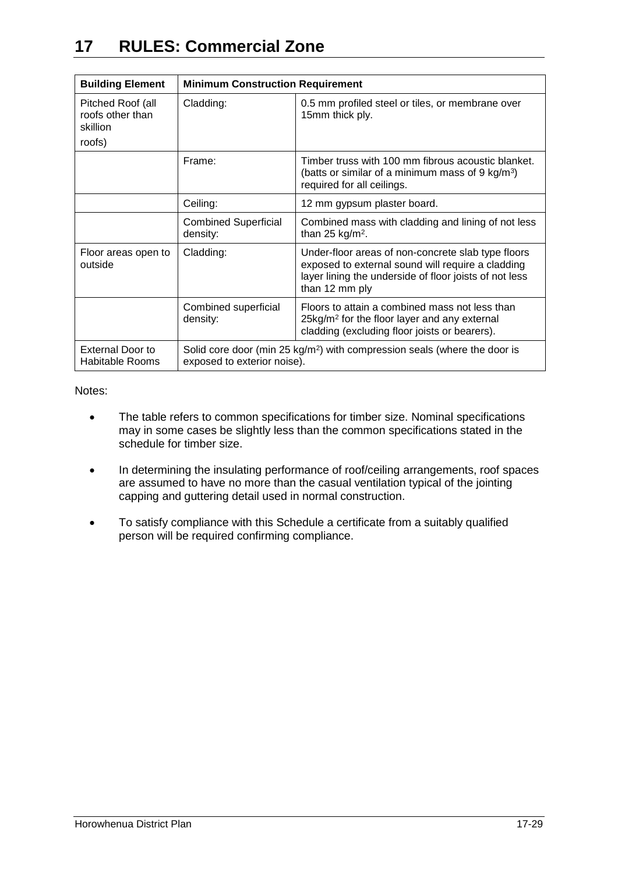| <b>Building Element</b>                                     | <b>Minimum Construction Requirement</b>                                                                              |                                                                                                                                                                                     |  |
|-------------------------------------------------------------|----------------------------------------------------------------------------------------------------------------------|-------------------------------------------------------------------------------------------------------------------------------------------------------------------------------------|--|
| Pitched Roof (all<br>roofs other than<br>skillion<br>roofs) | Cladding:                                                                                                            | 0.5 mm profiled steel or tiles, or membrane over<br>15mm thick ply.                                                                                                                 |  |
|                                                             | Frame:                                                                                                               | Timber truss with 100 mm fibrous acoustic blanket.<br>(batts or similar of a minimum mass of 9 kg/m <sup>3</sup> )<br>required for all ceilings.                                    |  |
|                                                             | Ceiling:                                                                                                             | 12 mm gypsum plaster board.                                                                                                                                                         |  |
|                                                             | <b>Combined Superficial</b><br>density:                                                                              | Combined mass with cladding and lining of not less<br>than 25 kg/m <sup>2</sup> .                                                                                                   |  |
| Floor areas open to<br>outside                              | Cladding:                                                                                                            | Under-floor areas of non-concrete slab type floors<br>exposed to external sound will require a cladding<br>layer lining the underside of floor joists of not less<br>than 12 mm ply |  |
|                                                             | Combined superficial<br>density:                                                                                     | Floors to attain a combined mass not less than<br>25kg/m <sup>2</sup> for the floor layer and any external<br>cladding (excluding floor joists or bearers).                         |  |
| <b>External Door to</b><br>Habitable Rooms                  | Solid core door (min 25 kg/m <sup>2</sup> ) with compression seals (where the door is<br>exposed to exterior noise). |                                                                                                                                                                                     |  |

#### Notes:

- The table refers to common specifications for timber size. Nominal specifications may in some cases be slightly less than the common specifications stated in the schedule for timber size.
- In determining the insulating performance of roof/ceiling arrangements, roof spaces are assumed to have no more than the casual ventilation typical of the jointing capping and guttering detail used in normal construction.
- To satisfy compliance with this Schedule a certificate from a suitably qualified person will be required confirming compliance.